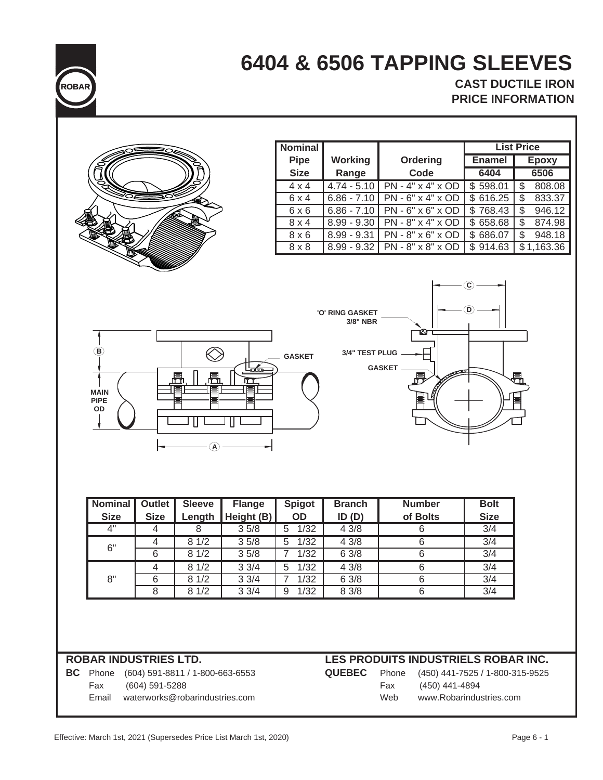

# **6404 & 6506 TAPPING SLEEVES**

**CAST DUCTILE IRON PRICE INFORMATION**

|                                                  |                |                                 |               | <b>Nominal</b>                      |                                                      |                                        |                                 | <b>List Price</b>                      |
|--------------------------------------------------|----------------|---------------------------------|---------------|-------------------------------------|------------------------------------------------------|----------------------------------------|---------------------------------|----------------------------------------|
|                                                  |                |                                 |               | <b>Pipe</b>                         | <b>Working</b>                                       | Ordering                               | <b>Enamel</b>                   | <b>Epoxy</b>                           |
|                                                  |                |                                 |               | <b>Size</b>                         | Range                                                | Code                                   | 6404                            | 6506                                   |
|                                                  |                |                                 |               | $4 \times 4$                        | $4.74 - 5.10$                                        | PN - 4" x 4" x OD                      | \$598.01                        | 808.08<br>\$                           |
|                                                  |                |                                 |               | 6 x 4                               | $6.86 - 7.10$                                        | PN - 6" x 4" x OD                      | \$616.25                        | \$<br>833.37                           |
|                                                  |                |                                 |               | $6 \times 6$                        | $6.86 - 7.10$                                        | PN - 6" x 6" x OD                      | \$768.43                        | \$<br>946.12                           |
|                                                  |                |                                 |               | $8 \times 4$                        | $8.99 - 9.30$                                        | PN - 8" x 4" x OD<br>PN - 8" x 6" x OD | \$658.68                        | \$<br>874.98                           |
|                                                  |                |                                 |               | $8 \times 6$<br>8 x 8               | $8.99 - 9.31$<br>$8.99 - 9.32$                       | PN - 8" x 8" x OD                      | \$686.07<br>\$914.63            | \$<br>948.18<br>$\overline{$}1,163.36$ |
|                                                  |                |                                 |               |                                     |                                                      |                                        |                                 |                                        |
| $^\circledR$<br><b>MAIN</b><br><b>PIPE</b><br>OD |                | 昷<br>昷<br>$\circledA$           | m             | <b>GASKET</b>                       | <b>'O' RING GASKET</b><br>3/8" NBR<br>3/4" TEST PLUG | ☎<br><b>GASKET</b><br>鬲                | $\copyright$<br>D,              | 曷                                      |
| <b>Nominal</b>                                   | <b>Outlet</b>  | <b>Sleeve</b>                   | <b>Flange</b> | <b>Spigot</b>                       | <b>Branch</b>                                        | <b>Number</b>                          | <b>Bolt</b>                     |                                        |
| <b>Size</b>                                      | <b>Size</b>    | Length                          | Height (B)    | OD                                  | ID(D)                                                | of Bolts                               | <b>Size</b>                     |                                        |
| 4"                                               | 4              | 8                               | 35/8          | 1/32<br>$\overline{5}$              | 43/8                                                 | $\overline{6}$                         | $\overline{3/4}$                |                                        |
| 6"                                               | 4<br>6         | 81/2<br>81/2                    | 35/8<br>35/8  | 5<br>1/32<br>$\overline{7}$<br>1/32 | 43/8<br>6 3/8                                        | 6<br>$\overline{6}$                    | 3/4<br>$\overline{3/4}$         |                                        |
|                                                  | 4              | 81/2                            | 33/4          | 5<br>1/32                           | 4 3/8                                                | 6                                      | 3/4                             |                                        |
| 8"                                               | $\,6$          | 81/2                            | 33/4          | 7<br>1/32                           | 6 3/8                                                | 6                                      | 3/4                             |                                        |
|                                                  | 8              | 81/2                            | 33/4          | 1/32<br>9                           | 8 3/8                                                | 6                                      | 3/4                             |                                        |
| <b>ROBAR INDUSTRIES LTD.</b>                     |                |                                 |               |                                     |                                                      | LES PRODUITS INDUSTRIELS ROBAR INC.    |                                 |                                        |
| <b>BC</b> Phone                                  |                | (604) 591-8811 / 1-800-663-6553 |               |                                     | <b>QUEBEC</b>                                        | Phone                                  | (450) 441-7525 / 1-800-315-9525 |                                        |
| Fax                                              | (604) 591-5288 |                                 |               |                                     |                                                      | Fax<br>(450) 441-4894                  |                                 |                                        |
| Email                                            |                | waterworks@robarindustries.com  |               |                                     |                                                      | Web                                    | www.Robarindustries.com         |                                        |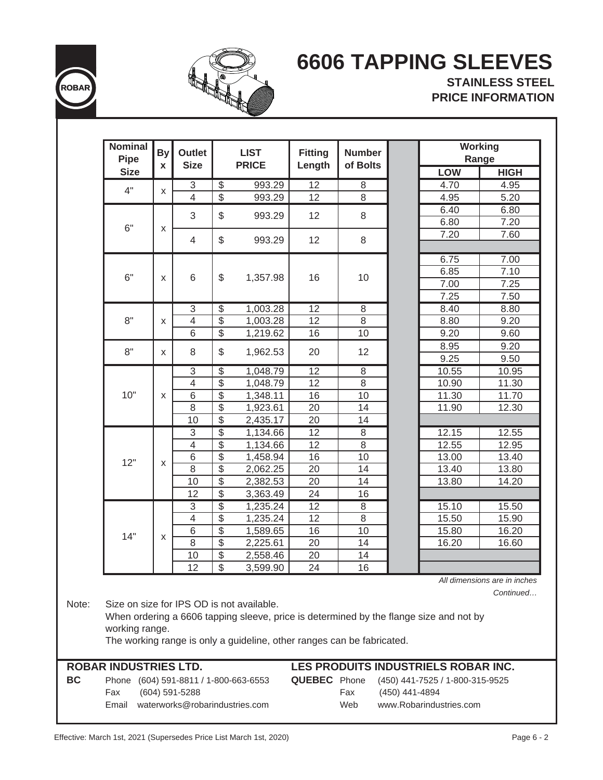



## **6606 TAPPING SLEEVES**

**STAINLESS STEEL PRICE INFORMATION**

| Nominal<br><b>Pipe</b>       | <b>By</b> | <b>Outlet</b>                   |                          | <b>LIST</b>                                                                                                         | <b>Fitting</b>           | <b>Number</b>  |                |                                                                                                                        | <b>Working</b><br>Range |       |       |
|------------------------------|-----------|---------------------------------|--------------------------|---------------------------------------------------------------------------------------------------------------------|--------------------------|----------------|----------------|------------------------------------------------------------------------------------------------------------------------|-------------------------|-------|-------|
| <b>Size</b>                  | X         | <b>Size</b>                     |                          | <b>PRICE</b>                                                                                                        | Length                   | of Bolts       |                | <b>LOW</b>                                                                                                             | <b>HIGH</b>             |       |       |
|                              |           | $\overline{3}$                  | $\overline{\mathcal{E}}$ | 993.29                                                                                                              | $\overline{12}$          | 8              |                | 4.70                                                                                                                   | 4.95                    |       |       |
| 4"                           | X         | $\overline{4}$                  | $\overline{\mathcal{E}}$ | 993.29                                                                                                              | 12                       | 8              |                | 4.95                                                                                                                   | 5.20                    |       |       |
|                              |           |                                 |                          |                                                                                                                     |                          |                |                | 6.40                                                                                                                   | 6.80                    |       |       |
|                              |           | 3                               | \$                       | 993.29                                                                                                              | 12                       | 8              |                | 6.80                                                                                                                   | 7.20                    |       |       |
| 6"                           | X         | 4                               | \$                       | 993.29                                                                                                              | 12                       | 8              |                | 7.20                                                                                                                   | 7.60                    |       |       |
|                              |           |                                 |                          |                                                                                                                     |                          |                |                | 6.75                                                                                                                   | 7.00                    |       |       |
|                              |           |                                 |                          |                                                                                                                     |                          |                |                | 6.85                                                                                                                   | 7.10                    |       |       |
| 6"                           | X         | 6                               | \$                       | 1,357.98                                                                                                            | 16                       | 10             |                | 7.00                                                                                                                   | 7.25                    |       |       |
|                              |           |                                 |                          |                                                                                                                     |                          |                |                | 7.25                                                                                                                   | 7.50                    |       |       |
|                              |           | $\overline{3}$                  | $\overline{\$}$          | 1,003.28                                                                                                            | $\overline{12}$          | $\overline{8}$ |                | 8.40                                                                                                                   | 8.80                    |       |       |
| 8"                           | X         | $\overline{4}$                  | $\overline{\$}$          | 1,003.28                                                                                                            | 12                       | 8              |                | 8.80                                                                                                                   | 9.20                    |       |       |
|                              |           | 6                               | $\overline{\mathcal{E}}$ | 1,219.62                                                                                                            | 16                       | 10             |                | 9.20                                                                                                                   | 9.60                    |       |       |
|                              |           |                                 |                          |                                                                                                                     |                          |                |                | 8.95                                                                                                                   | 9.20                    |       |       |
| 8"                           | X         | 8                               | \$                       | 1,962.53                                                                                                            | 20                       | 12             |                | 9.25                                                                                                                   | 9.50                    |       |       |
|                              |           | $\ensuremath{\mathsf{3}}$       | $\overline{\$}$          | 1,048.79                                                                                                            | 12                       | $\,8\,$        |                | 10.55                                                                                                                  | 10.95                   |       |       |
|                              |           | $\overline{4}$                  | $\overline{\$}$          | 1,048.79                                                                                                            | 12                       | 8              |                | 10.90                                                                                                                  | 11.30                   |       |       |
| 10"                          | X         | $\overline{6}$                  | $\overline{\$}$          | 1,348.11                                                                                                            | 16                       | 10             |                | 11.30                                                                                                                  | 11.70                   |       |       |
|                              |           | 8                               | $\overline{\mathcal{S}}$ | 1,923.61                                                                                                            | 20                       | 14             |                | 11.90                                                                                                                  | 12.30                   |       |       |
|                              |           | 10                              | \$                       | 2,435.17                                                                                                            | 20                       | 14             |                |                                                                                                                        |                         |       |       |
|                              |           | $\overline{3}$                  | $\overline{\$}$          | 1,134.66                                                                                                            | $\overline{12}$          | $\overline{8}$ |                | 12.15                                                                                                                  | 12.55                   |       |       |
|                              | X         |                                 |                          | $\overline{4}$                                                                                                      | $\overline{\mathcal{E}}$ | 1,134.66       | 12             | 8                                                                                                                      |                         | 12.55 | 12.95 |
|                              |           |                                 | $\,$ 6 $\,$              | $\overline{\mathcal{E}}$                                                                                            | 1,458.94                 | 16             | 10             |                                                                                                                        | 13.00                   | 13.40 |       |
| 12"                          |           |                                 | 8                        | $\overline{\$}$                                                                                                     | 2,062.25                 | 20             | 14             |                                                                                                                        | 13.40                   | 13.80 |       |
|                              |           | 10                              | $\overline{\$}$          | 2,382.53                                                                                                            | 20                       | 14             |                | 13.80                                                                                                                  | 14.20                   |       |       |
|                              |           | 12                              | $\overline{\mathcal{S}}$ | 3,363.49                                                                                                            | 24                       | 16             |                |                                                                                                                        |                         |       |       |
|                              |           | $\overline{3}$                  | $\overline{\$}$          | 1,235.24                                                                                                            | 12                       | 8              |                | 15.10                                                                                                                  | 15.50                   |       |       |
|                              |           | $\overline{4}$                  | $\overline{\$}$          | 1,235.24                                                                                                            | 12                       | $\overline{8}$ |                | 15.50                                                                                                                  | 15.90                   |       |       |
| 14"                          |           | $\,$ 6 $\,$                     | $\overline{\$}$          | 1,589.65                                                                                                            | 16                       | 10             |                | 15.80                                                                                                                  | 16.20                   |       |       |
|                              | X         | $\overline{8}$                  | $\overline{\$}$          | 2,225.61                                                                                                            | 20                       | 14             |                | 16.20                                                                                                                  | 16.60                   |       |       |
|                              |           | 10                              | $\overline{\$}$          | 2,558.46                                                                                                            | 20                       | 14             |                |                                                                                                                        |                         |       |       |
|                              |           | 12                              | $\overline{\mathcal{S}}$ | 3.599.90                                                                                                            | 24                       | 16             |                |                                                                                                                        |                         |       |       |
| working range.               |           |                                 |                          | Size on size for IPS OD is not available.<br>The working range is only a guideline, other ranges can be fabricated. |                          |                |                | All dimensions are in inches<br>When ordering a 6606 tapping sleeve, price is determined by the flange size and not by | Continued               |       |       |
| <b>ROBAR INDUSTRIES LTD.</b> |           |                                 |                          |                                                                                                                     |                          |                |                | LES PRODUITS INDUSTRIELS ROBAR INC.                                                                                    |                         |       |       |
| Phone                        |           | (604) 591-8811 / 1-800-663-6553 |                          |                                                                                                                     | <b>QUEBEC</b> Phone      |                |                | (450) 441-7525 / 1-800-315-9525                                                                                        |                         |       |       |
| Fax                          |           | (604) 591-5288                  |                          |                                                                                                                     |                          | Fax            | (450) 441-4894 |                                                                                                                        |                         |       |       |
| Email                        |           | waterworks@robarindustries.com  |                          |                                                                                                                     |                          | Web            |                | www.Robarindustries.com                                                                                                |                         |       |       |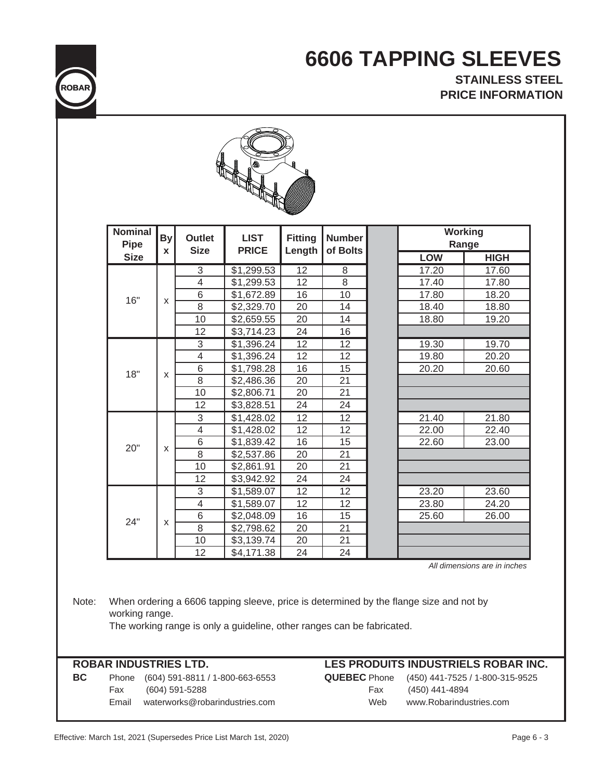### **6606 TAPPING SLEEVES STAINLESS STEEL**

 **PRICE INFORMATION**

*All dimensions are in inches*

Note: When ordering a 6606 tapping sleeve, price is determined by the flange size and not by working range.

### The working range is only a guideline, other ranges can be fabricated.

**BC** Phone (604) 591-8811 / 1-800-663-6553 **QUEBEC** Phone (450) 441-7525 / 1-800-315-9525 Fax (604) 591-5288 Email waterworks@robarindustries.com

### **ROBAR INDUSTRIES LTD. LES PRODUITS INDUSTRIELS ROBAR INC.**

| <b>EBEC</b> Phone | (450) 441-7525 / 1-800-315-9525 |
|-------------------|---------------------------------|
| Fax               | (450) 441-4894                  |
| Web               | www.Robarindustries.com         |



| <b>Nominal</b><br>Pipe | <b>By</b><br>X | Outlet<br><b>Size</b> | <b>LIST</b><br><b>PRICE</b> | <b>Fitting</b><br>Length | <b>Number</b><br>of Bolts |            | <b>Working</b><br>Range |
|------------------------|----------------|-----------------------|-----------------------------|--------------------------|---------------------------|------------|-------------------------|
| <b>Size</b>            |                |                       |                             |                          |                           | <b>LOW</b> | <b>HIGH</b>             |
|                        |                | 3                     | \$1,299.53                  | 12                       | 8                         | 17.20      | 17.60                   |
|                        |                | $\overline{4}$        | \$1,299.53                  | 12                       | 8                         | 17.40      | 17.80                   |
| 16"                    | X              | 6                     | \$1,672.89                  | 16                       | 10                        | 17.80      | 18.20                   |
|                        |                | 8                     | \$2,329.70                  | 20                       | 14                        | 18.40      | 18.80                   |
|                        |                | 10                    | \$2,659.55                  | 20                       | 14                        | 18.80      | 19.20                   |
|                        |                | 12                    | \$3,714.23                  | 24                       | 16                        |            |                         |
|                        |                | 3                     | \$1,396.24                  | 12                       | 12                        | 19.30      | 19.70                   |
|                        |                | 4                     | \$1,396.24                  | 12                       | 12                        | 19.80      | 20.20                   |
| 18"                    | X              | 6                     | \$1,798.28                  | 16                       | 15                        | 20.20      | 20.60                   |
|                        |                | 8                     | \$2,486.36                  | 20                       | 21                        |            |                         |
|                        |                | 10                    | \$2,806.71                  | 20                       | 21                        |            |                         |
|                        |                | 12                    | \$3,828.51                  | 24                       | 24                        |            |                         |
|                        |                | $\overline{3}$        | \$1,428.02                  | $\overline{12}$          | $\overline{12}$           | 21.40      | 21.80                   |
|                        |                | $\overline{4}$        | \$1,428.02                  | 12                       | 12                        | 22.00      | 22.40                   |
| 20"                    | X              | 6                     | \$1,839.42                  | 16                       | 15                        | 22.60      | 23.00                   |
|                        |                | $\overline{8}$        | \$2,537.86                  | 20                       | 21                        |            |                         |
|                        |                | 10                    | \$2,861.91                  | 20                       | 21                        |            |                         |
|                        |                | 12                    | \$3,942.92                  | 24                       | 24                        |            |                         |
|                        |                | 3                     | \$1,589.07                  | $\overline{12}$          | 12                        | 23.20      | 23.60                   |
|                        |                | 4                     | \$1,589.07                  | 12                       | 12                        | 23.80      | 24.20                   |
| 24"                    | X              | 6                     | \$2,048.09                  | 16                       | 15                        | 25.60      | 26.00                   |
|                        |                | $\overline{8}$        | \$2,798.62                  | 20                       | 21                        |            |                         |
|                        |                | 10                    | \$3,139.74                  | 20                       | 21                        |            |                         |
|                        |                | 12                    | \$4,171.38                  | 24                       | 24                        |            |                         |

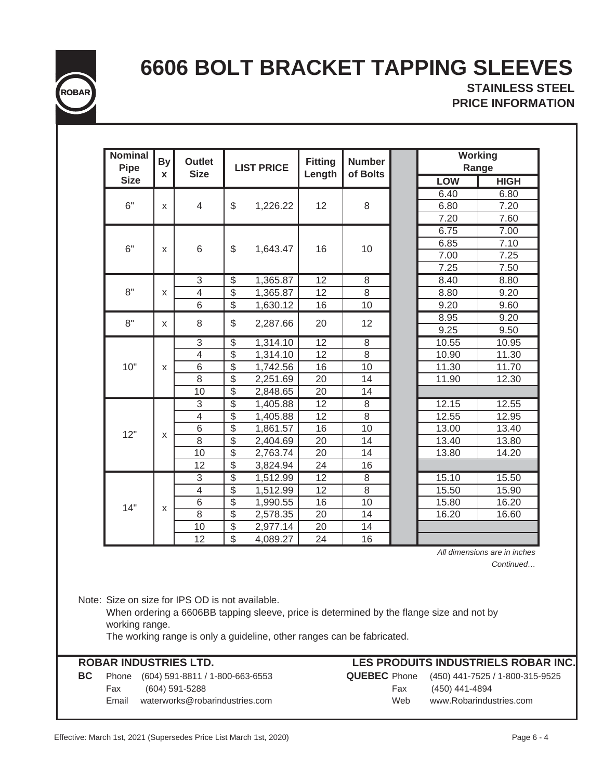

## **6606 BOLT BRACKET TAPPING SLEEVES**

**STAINLESS STEEL PRICE INFORMATION**

| <b>Nominal</b><br><b>Pipe</b> | <b>By</b><br>$\pmb{\mathsf{x}}$ | <b>Outlet</b><br><b>Size</b> |                          | <b>LIST PRICE</b> | <b>Fitting</b><br>Length | <b>Number</b><br>of Bolts | <b>Working</b><br>Range |             |
|-------------------------------|---------------------------------|------------------------------|--------------------------|-------------------|--------------------------|---------------------------|-------------------------|-------------|
| <b>Size</b>                   |                                 |                              |                          |                   |                          |                           | <b>LOW</b>              | <b>HIGH</b> |
|                               |                                 |                              |                          |                   |                          |                           | 6.40                    | 6.80        |
| 6"                            | X                               | 4                            | \$                       | 1,226.22          | 12                       | 8                         | 6.80                    | 7.20        |
|                               |                                 |                              |                          |                   |                          |                           | 7.20                    | 7.60        |
|                               |                                 |                              |                          |                   |                          |                           | 6.75                    | 7.00        |
| 6"                            | X                               | 6                            | \$                       | 1,643.47          | 16                       | 10                        | 6.85                    | 7.10        |
|                               |                                 |                              |                          |                   |                          |                           | 7.00                    | 7.25        |
|                               |                                 |                              |                          |                   |                          |                           | 7.25                    | 7.50        |
|                               |                                 | $\overline{3}$               | $\overline{\$}$          | 1,365.87          | $\overline{12}$          | 8                         | 8.40                    | 8.80        |
| 8"                            | X                               | $\overline{\mathcal{A}}$     | $\overline{\$}$          | 1,365.87          | 12                       | $\overline{8}$            | 8.80                    | 9.20        |
|                               |                                 | 6                            | $\overline{\$}$          | 1,630.12          | 16                       | 10                        | 9.20                    | 9.60        |
| 8"                            | X                               | 8                            | \$                       | 2,287.66          | 20                       | 12                        | 8.95                    | 9.20        |
|                               |                                 |                              |                          |                   |                          |                           | 9.25                    | 9.50        |
|                               |                                 | 3                            | $\overline{\$}$          | 1,314.10          | $\overline{12}$          | 8                         | 10.55                   | 10.95       |
|                               |                                 | $\overline{4}$               | $\overline{\$}$          | 1,314.10          | 12                       | 8                         | 10.90                   | 11.30       |
| 10"                           | X                               | 6                            | $\overline{\$}$          | 1,742.56          | 16                       | 10                        | 11.30                   | 11.70       |
|                               |                                 | 8                            | $\overline{\mathcal{S}}$ | 2,251.69          | 20                       | 14                        | 11.90                   | 12.30       |
|                               |                                 | 10                           | $\overline{\mathcal{S}}$ | 2,848.65          | 20                       | 14                        |                         |             |
|                               |                                 | $\overline{3}$               | $\overline{\$}$          | 1,405.88          | $\overline{12}$          | $\overline{8}$            | 12.15                   | 12.55       |
|                               |                                 | $\overline{\mathcal{L}}$     | $\overline{\$}$          | 1,405.88          | 12                       | 8                         | 12.55                   | 12.95       |
| 12"                           |                                 | 6                            | $\overline{\mathcal{S}}$ | 1,861.57          | 16                       | 10                        | 13.00                   | 13.40       |
|                               | X                               | 8                            | $\overline{\$}$          | 2,404.69          | 20                       | 14                        | 13.40                   | 13.80       |
|                               |                                 | 10                           | \$                       | 2,763.74          | 20                       | 14                        | 13.80                   | 14.20       |
|                               |                                 | 12                           | $\overline{\$}$          | 3,824.94          | 24                       | 16                        |                         |             |
|                               |                                 | $\overline{3}$               | $\overline{\$}$          | 1,512.99          | $\overline{12}$          | 8                         | 15.10                   | 15.50       |
|                               |                                 | $\overline{4}$               | $\overline{\$}$          | 1,512.99          | 12                       | $\overline{8}$            | 15.50                   | 15.90       |
| 14"                           | X                               | 6                            | $\overline{\$}$          | 1,990.55          | 16                       | 10                        | 15.80                   | 16.20       |
|                               |                                 | 8                            | $\overline{\$}$          | 2,578.35          | 20                       | 14                        | 16.20                   | 16.60       |
|                               |                                 | 10                           | $\overline{\$}$          | 2,977.14          | 20                       | $\overline{14}$           |                         |             |
|                               |                                 | 12                           | $\mathcal{L}$            | 4,089.27          | 24                       | 16                        |                         |             |

*Continued…*

Note: Size on size for IPS OD is not available.

When ordering a 6606BB tapping sleeve, price is determined by the flange size and not by working range.

The working range is only a guideline, other ranges can be fabricated.

### **ROBAR INDUSTRIES LTD.**

**BC** Phone (604) 591-8811 / 1-800-663-6553 **QUEBEC** Phone (450) 441-7525 / 1-800-315-9525 Fax (604) 591-5288 Fax (450) 441-4894 Email waterworks@robarindustries.com Web www.Robarindustries.com

**LES PRODUITS INDUSTRIELS ROBAR INC.**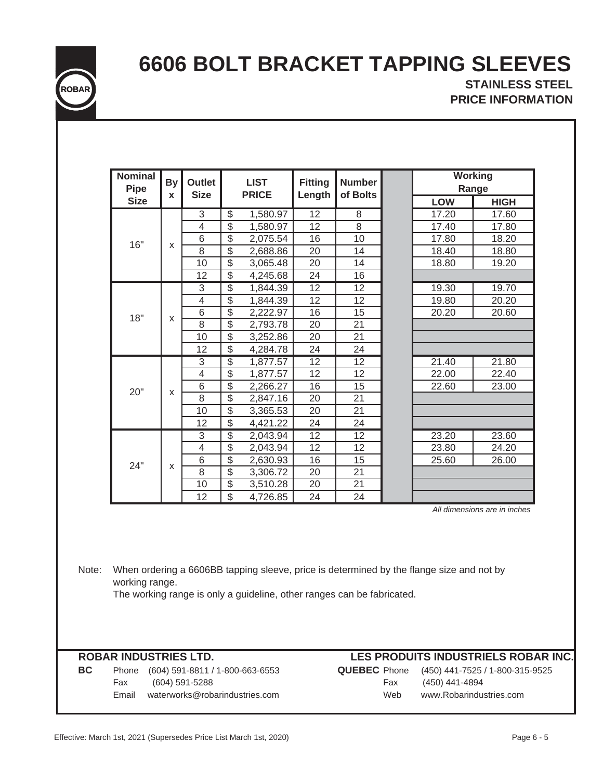

# **6606 BOLT BRACKET TAPPING SLEEVES**

**STAINLESS STEEL PRICE INFORMATION**

| <b>Nominal</b><br><b>Pipe</b>         | <b>By</b>          | <b>Outlet</b><br><b>Size</b> |                          | <b>LIST</b><br><b>PRICE</b>                                            | <b>Fitting</b>  | <b>Number</b><br>of Bolts |     | <b>Working</b>                                                                           | Range                        |
|---------------------------------------|--------------------|------------------------------|--------------------------|------------------------------------------------------------------------|-----------------|---------------------------|-----|------------------------------------------------------------------------------------------|------------------------------|
| <b>Size</b>                           | X                  |                              |                          |                                                                        | Length          |                           |     | LOW                                                                                      | <b>HIGH</b>                  |
|                                       |                    | 3                            | $\overline{\$}$          | 1,580.97                                                               | $\overline{12}$ | 8                         |     | 17.20                                                                                    | 17.60                        |
|                                       |                    | $\overline{4}$               | $\overline{\mathcal{S}}$ | 1,580.97                                                               | 12              | 8                         |     | 17.40                                                                                    | 17.80                        |
| 16"                                   |                    | 6                            | $\overline{\mathcal{S}}$ | 2,075.54                                                               | 16              | 10                        |     | 17.80                                                                                    | 18.20                        |
|                                       | X                  | 8                            | \$                       | 2,688.86                                                               | 20              | 14                        |     | 18.40                                                                                    | 18.80                        |
|                                       |                    | 10                           | \$                       | 3,065.48                                                               | 20              | 14                        |     | 18.80                                                                                    | 19.20                        |
|                                       |                    | 12                           | $\overline{\mathcal{S}}$ | 4,245.68                                                               | 24              | 16                        |     |                                                                                          |                              |
|                                       |                    | $\overline{3}$               | $\overline{\$}$          | 1,844.39                                                               | $\overline{12}$ | $\overline{12}$           |     | 19.30                                                                                    | 19.70                        |
|                                       |                    | $\overline{4}$               | $\overline{\$}$          | 1,844.39                                                               | 12              | 12                        |     | 19.80                                                                                    | 20.20                        |
| 18"                                   |                    | $\,$ 6 $\,$                  | $\overline{\mathcal{E}}$ | 2,222.97                                                               | 16              | 15                        |     | 20.20                                                                                    | 20.60                        |
|                                       | $\pmb{\mathsf{X}}$ | $\overline{8}$               | $\overline{\mathcal{E}}$ | 2,793.78                                                               | 20              | 21                        |     |                                                                                          |                              |
|                                       |                    | 10                           | $\overline{\mathcal{E}}$ | 3,252.86                                                               | 20              | 21                        |     |                                                                                          |                              |
|                                       |                    | 12                           | $\overline{\$}$          | 4,284.78                                                               | 24              | 24                        |     |                                                                                          |                              |
|                                       |                    | 3                            | $\overline{\$}$          | 1,877.57                                                               | $\overline{12}$ | $\overline{12}$           |     | 21.40                                                                                    | 21.80                        |
|                                       |                    | $\overline{4}$               | $\overline{\$}$          | 1,877.57                                                               | 12              | 12                        |     | 22.00                                                                                    | 22.40                        |
|                                       |                    | 6                            | $\overline{\$}$          | 2,266.27                                                               | 16              | 15                        |     | 22.60                                                                                    | 23.00                        |
| 20"                                   | X                  | 8                            | \$                       | 2,847.16                                                               | 20              | 21                        |     |                                                                                          |                              |
|                                       |                    | 10                           | $\overline{\mathcal{E}}$ | 3,365.53                                                               | 20              | 21                        |     |                                                                                          |                              |
|                                       |                    | 12                           | $\overline{\$}$          | 4,421.22                                                               | 24              | 24                        |     |                                                                                          |                              |
|                                       |                    | $\ensuremath{\mathsf{3}}$    | $\overline{\$}$          | 2,043.94                                                               | 12              | 12                        |     | 23.20                                                                                    | 23.60                        |
|                                       |                    | 4                            | \$                       | 2,043.94                                                               | 12              | 12                        |     | 23.80                                                                                    | 24.20                        |
|                                       |                    | $\,$ 6 $\,$                  | $\overline{\mathcal{S}}$ | 2,630.93                                                               | 16              | 15                        |     | 25.60                                                                                    | 26.00                        |
| 24"                                   | X                  | 8                            | \$                       | 3,306.72                                                               | 20              | 21                        |     |                                                                                          |                              |
|                                       |                    | 10                           | \$                       | 3,510.28                                                               | 20              | 21                        |     |                                                                                          |                              |
|                                       |                    | 12                           | $\mathfrak{S}$           | 4,726.85                                                               | 24              | 24                        |     |                                                                                          |                              |
|                                       |                    |                              |                          |                                                                        |                 |                           |     |                                                                                          | All dimensions are in inches |
| working range.                        |                    |                              |                          | The working range is only a guideline, other ranges can be fabricated. |                 |                           |     | When ordering a 6606BB tapping sleeve, price is determined by the flange size and not by |                              |
| <b>ROBAR INDUSTRIES LTD.</b><br>Phone |                    |                              |                          | (604) 591-8811 / 1-800-663-6553                                        |                 | <b>QUEBEC</b> Phone       |     | LES PRODUITS INDUSTRIELS ROBAR INC.<br>(450) 441-7525 / 1-800-315-9525                   |                              |
| Fax                                   |                    | (604) 591-5288               |                          |                                                                        |                 |                           | Fax | (450) 441-4894                                                                           |                              |
| Email waterworks@robarindustries.com  |                    |                              |                          |                                                                        |                 |                           | Web | www.Robarindustries.com                                                                  |                              |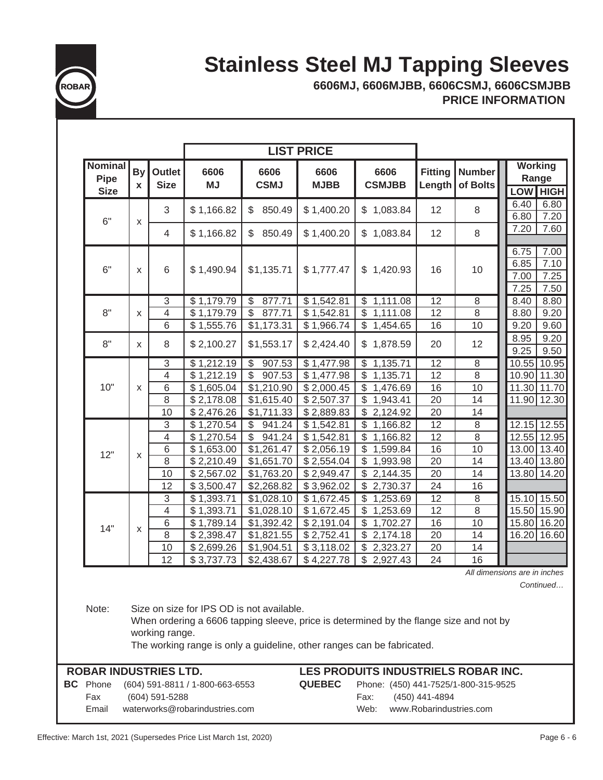

# **Stainless Steel MJ Tapping Sleeves**

**6606MJ, 6606MJBB, 6606CSMJ, 6606CSMJBB PRICE INFORMATION**

|                                                                                                                                                                                                                                                                                       |              |                       |                                |                                    | <b>LIST PRICE</b>   |                          |                          |                           |                                                              |                          |                |          |          |
|---------------------------------------------------------------------------------------------------------------------------------------------------------------------------------------------------------------------------------------------------------------------------------------|--------------|-----------------------|--------------------------------|------------------------------------|---------------------|--------------------------|--------------------------|---------------------------|--------------------------------------------------------------|--------------------------|----------------|----------|----------|
| <b>Nominal</b><br><b>Pipe</b><br><b>Size</b>                                                                                                                                                                                                                                          | By<br>X      | Outlet<br><b>Size</b> | 6606<br><b>MJ</b>              | 6606<br><b>CSMJ</b>                | 6606<br><b>MJBB</b> | 6606<br><b>CSMJBB</b>    | <b>Fitting</b><br>Length | <b>Number</b><br>of Bolts | <b>Working</b><br>Range                                      |                          |                |          |          |
|                                                                                                                                                                                                                                                                                       |              | 3                     | \$1,166.82                     | 850.49<br>\$                       | \$1,400.20          | \$1,083.84               | 12                       | 8                         | <b>LOW HIGH</b><br>6.40<br>6.80                              |                          |                |          |          |
| 6"                                                                                                                                                                                                                                                                                    | X            | 4                     | \$1,166.82                     | 850.49<br>\$                       | \$1,400.20          | \$1,083.84               | 12                       | 8                         | 6.80<br>7.20<br>7.20<br>7.60                                 |                          |                |          |          |
| 6"                                                                                                                                                                                                                                                                                    | X            | 6                     | \$1,490.94                     | \$1,135.71                         | \$1,777.47          | \$1,420.93               | 16                       | 10                        | 7.00<br>6.75<br>6.85<br>7.10<br>7.25<br>7.00<br>7.25<br>7.50 |                          |                |          |          |
|                                                                                                                                                                                                                                                                                       |              | 3                     | \$1,179.79                     | \$<br>877.71                       | \$1,542.81          | \$1,111.08               | 12                       | 8                         | 8.40<br>8.80                                                 |                          |                |          |          |
| 8"                                                                                                                                                                                                                                                                                    | x            | 4                     | \$1,179.79                     | 877.71<br>\$                       | \$1,542.81          | \$1,111.08               | 12                       | 8                         | 8.80<br>9.20                                                 |                          |                |          |          |
|                                                                                                                                                                                                                                                                                       |              | 6                     | \$1,555.76                     | \$1,173.31                         | \$1,966.74          | \$1,454.65               | 16                       | 10                        | 9.20<br>9.60                                                 |                          |                |          |          |
| 8"                                                                                                                                                                                                                                                                                    | $\mathsf{x}$ | 8                     | \$2,100.27                     | \$1,553.17                         | \$2,424.40          | \$1,878.59               | 20                       | 12                        | 8.95<br>9.20<br>9.25<br>9.50                                 |                          |                |          |          |
|                                                                                                                                                                                                                                                                                       |              | 3                     | \$1,212.19                     | $\overline{\mathcal{S}}$<br>907.53 | \$1,477.98          | \$1,135.71               | $\overline{12}$          | 8                         | 10.55<br>10.95                                               |                          |                |          |          |
|                                                                                                                                                                                                                                                                                       |              | 4                     | \$1,212.19                     | \$<br>907.53                       | \$1,477.98          | \$<br>1,135.71           | 12                       | 8                         | 10.90 11.30                                                  |                          |                |          |          |
| 10"                                                                                                                                                                                                                                                                                   | X            | 6                     | \$1,605.04                     | \$1,210.90                         | \$2,000.45          | \$<br>1,476.69           | 16                       | 10                        | 11.30 11.70                                                  |                          |                |          |          |
|                                                                                                                                                                                                                                                                                       |              | 8                     | \$2,178.08                     | \$1,615.40                         | \$2,507.37          | \$<br>1,943.41           | 20                       | 14                        | 12.30<br>11.90                                               |                          |                |          |          |
|                                                                                                                                                                                                                                                                                       |              | 10                    | \$2,476.26                     | \$1,711.33                         | \$2,889.83          | \$2,124.92               | 20                       | 14                        |                                                              |                          |                |          |          |
|                                                                                                                                                                                                                                                                                       |              | 3                     | \$1,270.54                     | \$<br>941.24                       | \$1,542.81          | \$<br>1,166.82           | 12                       | 8                         | 12.15 12.55                                                  |                          |                |          |          |
|                                                                                                                                                                                                                                                                                       | X            |                       | 4                              | \$1,270.54                         | \$941.24            | \$1,542.81               | \$<br>1,166.82           | 12                        | 8                                                            | 12.55 12.95              |                |          |          |
| 12"                                                                                                                                                                                                                                                                                   |              |                       |                                |                                    |                     |                          | 6<br>8                   | \$1,653.00                | \$1,261.47<br>\$1,651.70                                     | \$2,056.19<br>\$2,554.04 | 1,599.84<br>\$ | 16<br>20 | 10<br>14 |
|                                                                                                                                                                                                                                                                                       |              | 10                    | \$2,210.49<br>\$2,567.02       | \$1,763.20                         | \$2,949.47          | \$1,993.98<br>\$2,144.35 | 20                       | 14                        | 13.80 14.20                                                  |                          |                |          |          |
|                                                                                                                                                                                                                                                                                       |              | 12                    | \$3,500.47                     | \$2,268.82                         | \$3,962.02          | \$2,730.37               | 24                       | 16                        |                                                              |                          |                |          |          |
|                                                                                                                                                                                                                                                                                       |              | 3                     | \$1,393.71                     | \$1,028.10                         | \$1,672.45          | \$<br>1,253.69           | $\overline{12}$          | $\overline{8}$            | 15.10 15.50                                                  |                          |                |          |          |
|                                                                                                                                                                                                                                                                                       |              | 4                     | \$1,393.71                     | \$1,028.10                         | \$1,672.45          | \$1,253.69               | $\overline{12}$          | $\overline{8}$            | 15.50<br>15.90                                               |                          |                |          |          |
|                                                                                                                                                                                                                                                                                       |              | 6                     | \$1,789.14                     | \$1,392.42                         | \$2,191.04          | \$1,702.27               | 16                       | 10                        | 15.80 16.20                                                  |                          |                |          |          |
| 14"                                                                                                                                                                                                                                                                                   | X            | 8                     | \$2,398.47                     | \$1,821.55                         | \$2,752.41          | \$2,174.18               | 20                       | 14                        | 16.20 16.60                                                  |                          |                |          |          |
|                                                                                                                                                                                                                                                                                       |              | 10                    | \$2,699.26                     | \$1,904.51                         | \$3,118.02          | \$2,323.27               | 20                       | 14                        |                                                              |                          |                |          |          |
|                                                                                                                                                                                                                                                                                       |              | 12                    | \$3,737.73                     | \$2,438.67                         | \$4,227.78          | \$2,927.43               | 24                       | 16                        |                                                              |                          |                |          |          |
| All dimensions are in inches<br>Continued<br>Note:<br>Size on size for IPS OD is not available.<br>When ordering a 6606 tapping sleeve, price is determined by the flange size and not by<br>working range.<br>The working range is only a guideline, other ranges can be fabricated. |              |                       |                                |                                    |                     |                          |                          |                           |                                                              |                          |                |          |          |
|                                                                                                                                                                                                                                                                                       |              |                       |                                |                                    |                     |                          |                          |                           |                                                              |                          |                |          |          |
| <b>ROBAR INDUSTRIES LTD.</b><br>LES PRODUITS INDUSTRIELS ROBAR INC.<br><b>QUEBEC</b><br><b>BC</b> Phone<br>(604) 591-8811 / 1-800-663-6553<br>Phone: (450) 441-7525/1-800-315-9525                                                                                                    |              |                       |                                |                                    |                     |                          |                          |                           |                                                              |                          |                |          |          |
| Fax                                                                                                                                                                                                                                                                                   |              | (604) 591-5288        |                                |                                    |                     | Fax:                     | (450) 441-4894           |                           |                                                              |                          |                |          |          |
| Email                                                                                                                                                                                                                                                                                 |              |                       | waterworks@robarindustries.com |                                    |                     | Web:                     |                          | www.Robarindustries.com   |                                                              |                          |                |          |          |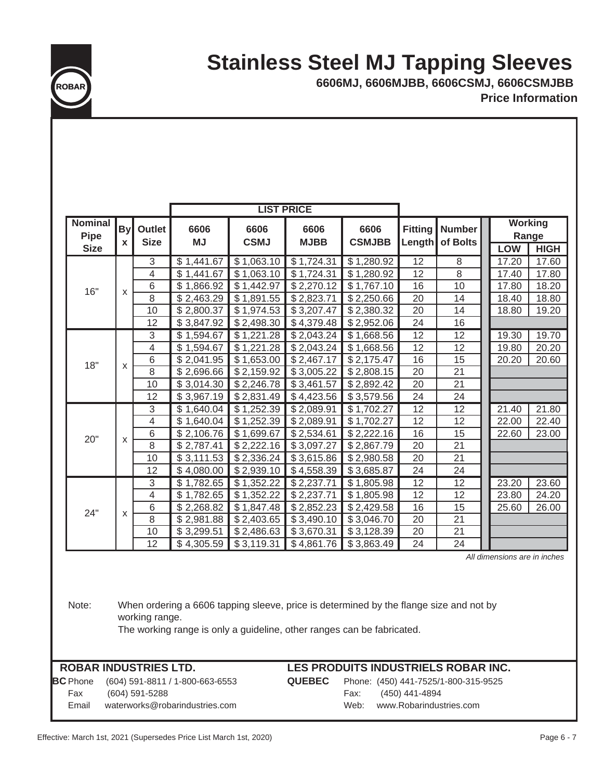## **Stainless Steel MJ Tapping Sleeves**



**Price Information 6606MJ, 6606MJBB, 6606CSMJ, 6606CSMJBB**

|                                              |                           |                                  |                          | <b>LIST PRICE</b>        |                          |                          |                          |                           |                         |                              |
|----------------------------------------------|---------------------------|----------------------------------|--------------------------|--------------------------|--------------------------|--------------------------|--------------------------|---------------------------|-------------------------|------------------------------|
| <b>Nominal</b><br><b>Pipe</b><br><b>Size</b> | <b>By</b><br>$\mathbf{x}$ | Outlet<br><b>Size</b>            | 6606<br><b>MJ</b>        | 6606<br><b>CSMJ</b>      | 6606<br><b>MJBB</b>      | 6606<br><b>CSMJBB</b>    | <b>Fitting</b><br>Length | <b>Number</b><br>of Bolts | <b>Working</b><br>Range |                              |
|                                              |                           |                                  |                          |                          |                          |                          |                          |                           | <b>LOW</b>              | <b>HIGH</b>                  |
|                                              |                           | $\overline{3}$<br>$\overline{4}$ | \$1,441.67               | \$1,063.10               | \$1,724.31               | \$1,280.92               | $\overline{12}$<br>12    | 8<br>8                    | 17.20                   | 17.60<br>17.80               |
|                                              |                           | 6                                | \$1,441.67<br>\$1,866.92 | \$1,063.10<br>\$1,442.97 | \$1,724.31<br>\$2,270.12 | \$1,280.92<br>\$1,767.10 | 16                       | 10                        | 17.40<br>17.80          | 18.20                        |
| 16"                                          | X                         | 8                                | \$2,463.29               | \$1,891.55               | \$2,823.71               | \$2,250.66               | 20                       | 14                        | 18.40                   | 18.80                        |
|                                              |                           | 10                               | \$2,800.37               | \$1,974.53               | \$3,207.47               | \$2,380.32               | 20                       | 14                        | 18.80                   | 19.20                        |
|                                              |                           | 12                               | \$3,847.92               | \$2,498.30               | \$4,379.48               | \$2,952.06               | 24                       | 16                        |                         |                              |
|                                              |                           | 3                                | \$1,594.67               | \$1,221.28               | \$2,043.24               | \$1,668.56               | $\overline{12}$          | $\overline{12}$           | 19.30                   | 19.70                        |
|                                              |                           | 4                                | \$1,594.67               | \$1,221.28               | \$2,043.24               | \$1,668.56               | 12                       | 12                        | 19.80                   | 20.20                        |
|                                              |                           | 6                                | \$2,041.95               | \$1,653.00               | \$2,467.17               | \$2,175.47               | 16                       | $\overline{15}$           | 20.20                   | 20.60                        |
| 18"                                          | $\mathsf{x}$              | 8                                | \$2,696.66               | \$2,159.92               | \$3,005.22               | \$2,808.15               | 20                       | 21                        |                         |                              |
|                                              |                           | 10                               | \$3,014.30               | \$2,246.78               | \$3,461.57               | \$2,892.42               | 20                       | 21                        |                         |                              |
|                                              |                           | 12                               | \$3,967.19               | \$2,831.49               | \$4,423.56               | \$3,579.56               | 24                       | 24                        |                         |                              |
|                                              |                           | 3                                | \$1,640.04               | \$1,252.39               | \$2,089.91               | \$1,702.27               | 12                       | 12                        | 21.40                   | 21.80                        |
|                                              |                           | $\overline{4}$                   | \$1,640.04               | \$1,252.39               | \$2,089.91               | \$1,702.27               | 12                       | 12                        | 22.00                   | 22.40                        |
|                                              |                           | 6                                | \$2,106.76               | \$1,699.67               | \$2,534.61               | \$2,222.16               | 16                       | 15                        | 22.60                   | 23.00                        |
| 20"                                          | $\mathsf{x}$              | 8                                | \$2,787.41               | \$2,222.16               | \$3,097.27               | \$2,867.79               | 20                       | 21                        |                         |                              |
|                                              |                           | 10                               | \$3,111.53               | \$2,336.24               | \$3,615.86               | \$2,980.58               | 20                       | $\overline{21}$           |                         |                              |
|                                              |                           | 12                               | \$4,080.00               | \$2,939.10               | \$4,558.39               | \$3,685.87               | 24                       | 24                        |                         |                              |
|                                              |                           | 3                                | \$1,782.65               | \$1,352.22               | \$2,237.71               | $\overline{$}1,805.98$   | 12                       | 12                        | 23.20                   | 23.60                        |
|                                              |                           | 4                                | \$1,782.65               | \$1,352.22               | \$2,237.71               | \$1,805.98               | 12                       | 12                        | 23.80                   | 24.20                        |
| 24"                                          | $\mathsf{x}$              | 6                                | \$2,268.82               | \$1,847.48               | \$2,852.23               | \$2,429.58               | 16                       | 15                        | 25.60                   | 26.00                        |
|                                              |                           | 8                                | \$2,981.88               | \$2,403.65               | \$3,490.10               | \$3,046.70               | 20                       | 21                        |                         |                              |
|                                              |                           | 10                               | \$3,299.51               | \$2,486.63               | \$3,670.31               | \$3,128.39               | 20                       | 21                        |                         |                              |
|                                              |                           | 12                               | \$4,305.59               | \$3,119.31               | \$4,861.76               | \$3,863.49               | 24                       | 24                        |                         |                              |
|                                              |                           |                                  |                          |                          |                          |                          |                          |                           |                         | All dimensions are in inches |

Note: When ordering a 6606 tapping sleeve, price is determined by the flange size and not by working range.

The working range is only a guideline, other ranges can be fabricated.

**BC** Phone

### **ROBAR INDUSTRIES LTD. LES PRODUITS INDUSTRIELS ROBAR INC.**

Phone (604) 591-8811 / 1-800-663-6553 **QUEBEC** Phone: (450) 441-7525/1-800-315-9525 Fax (604) 591-5288 Fax: (450) 441-4894 Email waterworks@robarindustries.com Web: www.Robarindustries.com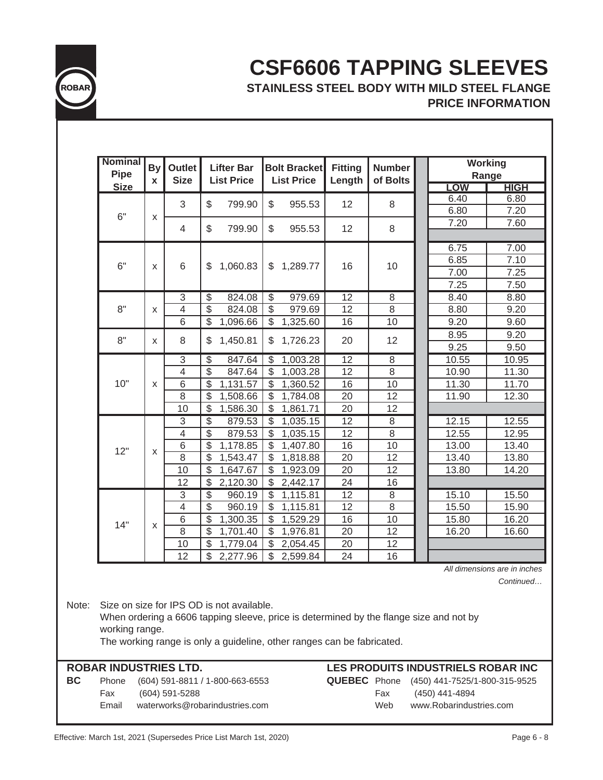

### **CSF6606 TAPPING SLEEVES PRICE INFORMATION STAINLESS STEEL BODY WITH MILD STEEL FLANGE**

| <b>Nominal</b><br>Pipe | <b>By</b><br>X | <b>Outlet</b><br><b>Size</b> | <b>Lifter Bar</b><br><b>List Price</b> | <b>Bolt Bracket</b><br><b>List Price</b> | <b>Fitting</b><br>Length | <b>Number</b><br>of Bolts | <b>Working</b><br>Range |
|------------------------|----------------|------------------------------|----------------------------------------|------------------------------------------|--------------------------|---------------------------|-------------------------|
| <b>Size</b>            |                |                              |                                        |                                          |                          |                           | <b>HIGH</b><br>LOW      |
|                        |                | 3                            | \$<br>799.90                           | \$<br>955.53                             | 12                       | 8                         | 6.40<br>6.80            |
| 6"                     | X              |                              |                                        |                                          |                          |                           | 6.80<br>7.20            |
|                        |                | 4                            | \$<br>799.90                           | \$<br>955.53                             | 12                       | 8                         | 7.20<br>7.60            |
|                        |                |                              |                                        |                                          |                          |                           |                         |
|                        |                |                              |                                        |                                          |                          |                           | 6.75<br>7.00            |
| 6"                     | X              | $6\phantom{1}$               | 1,060.83<br>\$                         | $\mathbb{S}$<br>1,289.77                 | 16                       | 10                        | 7.10<br>6.85            |
|                        |                |                              |                                        |                                          |                          |                           | 7.25<br>7.00            |
|                        |                |                              |                                        |                                          |                          |                           | 7.25<br>7.50            |
|                        |                | $\overline{3}$               | $\overline{\mathcal{S}}$<br>824.08     | $\overline{\mathcal{S}}$<br>979.69       | $\overline{12}$          | $\overline{8}$            | 8.40<br>8.80            |
| 8"                     | X              | 4                            | $\overline{\mathcal{S}}$<br>824.08     | \$<br>979.69                             | 12                       | 8                         | 8.80<br>9.20            |
|                        |                | 6                            | \$<br>1,096.66                         | \$<br>1,325.60                           | 16                       | 10                        | 9.20<br>9.60            |
| 8"                     | X              | 8                            | \$<br>1,450.81                         | 1,726.23<br>\$                           | 20                       | 12                        | 8.95<br>9.20            |
|                        |                |                              |                                        |                                          |                          |                           | 9.25<br>9.50            |
|                        |                | $\overline{3}$               | $\overline{\$}$<br>847.64              | $\overline{\mathcal{S}}$<br>1,003.28     | $\overline{12}$          | $\overline{8}$            | 10.55<br>10.95          |
|                        |                | $\overline{4}$               | $\overline{\mathcal{S}}$<br>847.64     | \$<br>1,003.28                           | $\overline{12}$          | $\overline{8}$            | 11.30<br>10.90          |
| 10"                    | X              | 6                            | \$<br>1,131.57                         | \$<br>1,360.52                           | 16                       | 10                        | 11.70<br>11.30          |
|                        |                | $\overline{8}$               | $\overline{\mathfrak{s}}$<br>1,508.66  | \$<br>1,784.08                           | 20                       | 12                        | 11.90<br>12.30          |
|                        |                | 10                           | $\mathcal{S}$<br>1,586.30              | \$<br>1,861.71                           | 20                       | 12                        |                         |
|                        |                | $\overline{3}$               | $\overline{\$}$<br>879.53              | \$<br>1,035.15                           | $\overline{12}$          | $\overline{8}$            | 12.15<br>12.55          |
|                        |                | $\overline{4}$               | $\overline{\mathcal{S}}$<br>879.53     | \$<br>1,035.15                           | 12                       | 8                         | 12.55<br>12.95          |
| 12"                    | X              | 6                            | \$<br>1,178.85                         | \$<br>1,407.80                           | 16                       | 10                        | 13.00<br>13.40          |
|                        |                | $\overline{8}$               | $\overline{\mathcal{S}}$<br>1,543.47   | \$<br>1,818.88                           | 20                       | 12                        | 13.40<br>13.80          |
|                        |                | 10                           | $\boldsymbol{\mathsf{S}}$<br>1,647.67  | \$<br>1,923.09                           | 20                       | 12                        | 13.80<br>14.20          |
|                        |                | 12                           | $\sqrt{2}$<br>2,120.30                 | \$<br>2,442.17                           | 24                       | 16                        |                         |
|                        |                | 3                            | 3<br>960.19                            | 1,115.81<br>$\overline{\mathbb{S}}$      | $\overline{12}$          | $\overline{8}$            | 15.10<br>15.50          |
|                        |                | $\overline{4}$               | $\overline{\$}$<br>960.19              | \$<br>1,115.81                           | 12                       | $\overline{8}$            | 15.50<br>15.90          |
| 14"                    |                | 6                            | \$<br>1,300.35                         | \$<br>1,529.29                           | 16                       | 10                        | 15.80<br>16.20          |
|                        | X              | $\overline{8}$               | $\overline{\mathcal{S}}$<br>1,701.40   | \$<br>1,976.81                           | $\overline{20}$          | $\overline{12}$           | 16.20<br>16.60          |
|                        |                | 10                           | $\overline{\$}$<br>1,779.04            | $\overline{\mathcal{S}}$<br>2,054.45     | $\overline{20}$          | $\overline{12}$           |                         |
|                        |                | 12                           | $\overline{\mathcal{S}}$<br>2,277.96   | \$<br>2,599.84                           | 24                       | 16                        |                         |

*All dimensions are in inches*

*Continued…*

Note: Size on size for IPS OD is not available.

When ordering a 6606 tapping sleeve, price is determined by the flange size and not by working range.

The working range is only a guideline, other ranges can be fabricated.

**BC** Phone (604) 591-8811 / 1-800-663-6553 **QUEBEC** Phone (450) 441-7525/1-800-315-9525 Fax (604) 591-5288 Fax (450) 441-4894 Email waterworks@robarindustries.com Web www.Robarindustries.com

### **ROBAR INDUSTRIES LTD. LES PRODUITS INDUSTRIELS ROBAR INC**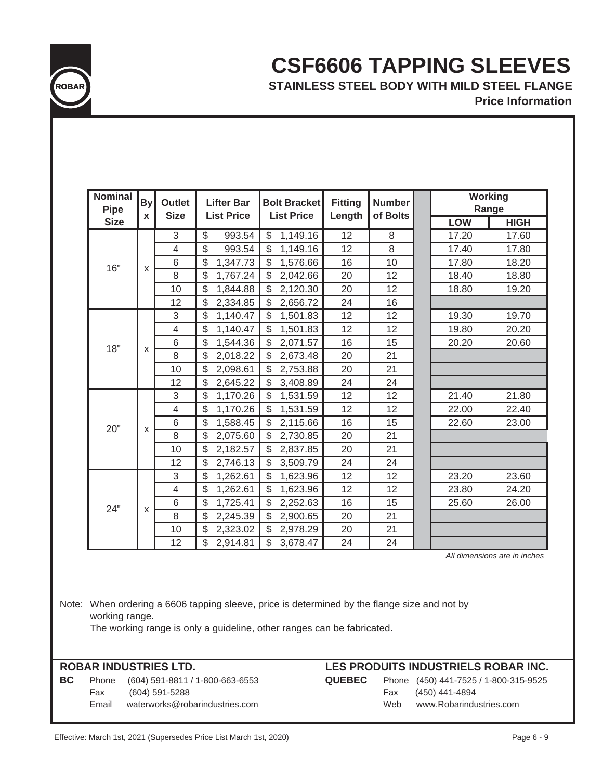

### **CSF6606 TAPPING SLEEVES STAINLESS STEEL BODY WITH MILD STEEL FLANGE**

**Price Information**

| <b>Nominal</b> |              |                              |                                        |                                          |                          |                           |       | <b>Working</b> |
|----------------|--------------|------------------------------|----------------------------------------|------------------------------------------|--------------------------|---------------------------|-------|----------------|
| <b>Pipe</b>    | <b>By</b>    | <b>Outlet</b><br><b>Size</b> | <b>Lifter Bar</b><br><b>List Price</b> | <b>Bolt Bracket</b><br><b>List Price</b> | <b>Fitting</b><br>Length | <b>Number</b><br>of Bolts |       | Range          |
| <b>Size</b>    | X            |                              |                                        |                                          |                          |                           | LOW   | <b>HIGH</b>    |
|                |              | 3                            | 993.54<br>\$                           | 1,149.16<br>\$                           | 12                       | 8                         | 17.20 | 17.60          |
|                |              | $\overline{4}$               | \$<br>993.54                           | \$<br>1,149.16                           | 12                       | 8                         | 17.40 | 17.80          |
| 16"            | $\mathsf{x}$ | 6                            | \$<br>1,347.73                         | \$<br>1,576.66                           | 16                       | 10                        | 17.80 | 18.20          |
|                |              | 8                            | \$<br>1,767.24                         | $\mathcal{L}$<br>2,042.66                | 20                       | 12                        | 18.40 | 18.80          |
|                |              | 10                           | \$<br>1,844.88                         | $\mathcal{S}$<br>2,120.30                | 20                       | 12                        | 18.80 | 19.20          |
|                |              | 12                           | \$<br>2,334.85                         | \$<br>2,656.72                           | 24                       | 16                        |       |                |
|                |              | 3                            | \$<br>1,140.47                         | $\mathcal{L}$<br>1,501.83                | 12                       | 12                        | 19.30 | 19.70          |
|                |              | $\overline{4}$               | \$<br>1,140.47                         | \$<br>1,501.83                           | 12                       | 12                        | 19.80 | 20.20          |
| 18"            | X            | 6                            | \$<br>1,544.36                         | \$<br>2,071.57                           | 16                       | 15                        | 20.20 | 20.60          |
|                |              | 8                            | \$<br>2,018.22                         | \$<br>2,673.48                           | 20                       | 21                        |       |                |
|                |              | 10                           | \$<br>2,098.61                         | $\mathcal{L}$<br>2,753.88                | 20                       | 21                        |       |                |
|                |              | 12                           | \$<br>2,645.22                         | \$<br>3,408.89                           | 24                       | 24                        |       |                |
|                |              | 3                            | \$<br>1,170.26                         | $\mathbb{S}$<br>1,531.59                 | 12                       | 12                        | 21.40 | 21.80          |
|                |              | $\overline{4}$               | \$<br>1,170.26                         | $\mathcal{S}$<br>1,531.59                | 12                       | 12                        | 22.00 | 22.40          |
| 20"            | X            | 6                            | \$<br>1,588.45                         | $\mathcal{L}$<br>2,115.66                | 16                       | 15                        | 22.60 | 23.00          |
|                |              | 8                            | \$<br>2,075.60                         | \$<br>2,730.85                           | 20                       | 21                        |       |                |
|                |              | 10                           | \$<br>2,182.57                         | \$<br>2,837.85                           | 20                       | 21                        |       |                |
|                |              | 12                           | \$<br>2,746.13                         | \$<br>3,509.79                           | 24                       | 24                        |       |                |
|                |              | 3                            | \$<br>1,262.61                         | \$<br>1,623.96                           | 12                       | 12                        | 23.20 | 23.60          |
|                |              | $\overline{4}$               | \$<br>1,262.61                         | \$<br>1,623.96                           | 12                       | 12                        | 23.80 | 24.20          |
| 24"            |              | 6                            | \$<br>1,725.41                         | \$<br>2,252.63                           | 16                       | 15                        | 25.60 | 26.00          |
|                | X            | 8                            | \$<br>2,245.39                         | $\mathcal{L}$<br>2,900.65                | 20                       | 21                        |       |                |
|                |              | 10                           | \$<br>2,323.02                         | \$<br>2,978.29                           | 20                       | 21                        |       |                |
|                |              | 12                           | \$<br>2,914.81                         | \$<br>3,678.47                           | 24                       | 24                        |       |                |

*All dimensions are in inches*

Note: When ordering a 6606 tapping sleeve, price is determined by the flange size and not by working range. The working range is only a guideline, other ranges can be fabricated.

**BC** Phone (604) 591-8811 / 1-800-663-6553 **QUEBEC** Phone (450) 441-7525 / 1-800-315-9525 Fax (604) 591-5288 Fax (450) 441-4894 Email waterworks@robarindustries.com Web www.Robarindustries.com

### **ROBAR INDUSTRIES LTD. LES PRODUITS INDUSTRIELS ROBAR INC.**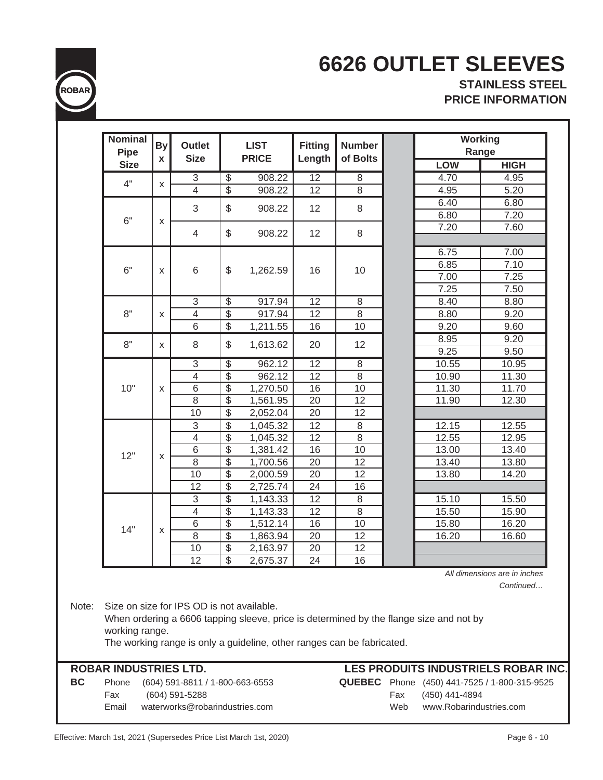

# **6626 OUTLET SLEEVES**

**STAINLESS STEEL PRICE INFORMATION**

| <b>Pipe</b> | <b>By</b>          | <b>Outlet</b>             |                           | <b>LIST</b>           | <b>Fitting</b>  | <b>Number</b>  | <b>Working</b><br>Range |             |
|-------------|--------------------|---------------------------|---------------------------|-----------------------|-----------------|----------------|-------------------------|-------------|
| <b>Size</b> | $\mathbf{x}$       | <b>Size</b>               |                           | <b>PRICE</b>          | Length          | of Bolts       | <b>LOW</b>              | <b>HIGH</b> |
|             |                    | $\sqrt{3}$                | $\boldsymbol{\theta}$     | 908.22                | $\overline{12}$ | 8              | 4.70                    | 4.95        |
| 4"          | $\pmb{\mathsf{X}}$ | $\overline{4}$            | $\overline{\$}$           | 908.22                | 12              | 8              | 4.95                    | 5.20        |
|             |                    |                           |                           |                       |                 |                | 6.40                    | 6.80        |
| 6"          |                    | 3                         | $\boldsymbol{\mathsf{S}}$ | 908.22                | 12              | 8              | 6.80                    | 7.20        |
|             | X                  | $\overline{4}$            | \$                        | 908.22                | 12              | 8              | 7.20                    | 7.60        |
|             |                    |                           |                           |                       |                 |                | 6.75                    | 7.00        |
|             |                    |                           |                           |                       |                 |                | 6.85                    | 7.10        |
| 6"          | X                  | 6                         | \$                        | 1,262.59              | 16              | 10             | 7.00                    | 7.25        |
|             |                    |                           |                           |                       |                 |                | 7.25                    | 7.50        |
|             |                    | $\sqrt{3}$                | $\frac{1}{2}$             | 917.94                | 12              | 8              | 8.40                    | 8.80        |
| 8"          | X                  | $\overline{\mathcal{L}}$  | $\overline{\$}$           | 917.94                | 12              | $\overline{8}$ | 8.80                    | 9.20        |
|             |                    | 6                         | $\overline{\mathcal{E}}$  | $\overline{1,}211.55$ | 16              | 10             | 9.20                    | 9.60        |
|             |                    |                           |                           |                       |                 |                | 8.95                    | 9.20        |
| 8"          | X                  | 8                         | \$                        | 1,613.62              | 20              | 12             | 9.25                    | 9.50        |
|             |                    | $\overline{3}$            | $\overline{\mathcal{E}}$  | 962.12                | $\overline{12}$ | $\overline{8}$ | 10.55                   | 10.95       |
|             |                    | $\overline{4}$            | $\overline{\$}$           | 962.12                | 12              | $\overline{8}$ | 10.90                   | 11.30       |
| 10"         | X                  | $\,6$                     | $\overline{\$}$           | 1,270.50              | 16              | 10             | 11.30                   | 11.70       |
|             |                    | 8                         | $\overline{\mathcal{S}}$  | 1,561.95              | 20              | 12             | 11.90                   | 12.30       |
|             |                    | 10                        | $\frac{1}{2}$             | 2,052.04              | 20              | 12             |                         |             |
|             |                    | $\ensuremath{\mathsf{3}}$ | $\overline{\$}$           | 1,045.32              | $\overline{12}$ | $\overline{8}$ | 12.15                   | 12.55       |
|             |                    | 4                         | $\overline{\mathcal{S}}$  | 1,045.32              | 12              | 8              | 12.55                   | 12.95       |
| 12"         |                    | $\,6$                     | $\overline{\mathcal{S}}$  | 1,381.42              | 16              | 10             | 13.00                   | 13.40       |
|             | X                  | $\,8\,$                   | $\overline{\mathcal{S}}$  | 1,700.56              | 20              | 12             | 13.40                   | 13.80       |
|             |                    | 10                        | $\overline{\$}$           | 2,000.59              | 20              | 12             | 13.80                   | 14.20       |
|             |                    | 12                        | $\overline{\mathcal{S}}$  | 2,725.74              | 24              | 16             |                         |             |
|             |                    | $\overline{3}$            | $\overline{\$}$           | 1,143.33              | $\overline{12}$ | 8              | 15.10                   | 15.50       |
|             |                    | $\overline{4}$            | $\overline{\$}$           | 1,143.33              | 12              | $\overline{8}$ | 15.50                   | 15.90       |
| 14"         | X                  | $\,6$                     | $\overline{\$}$           | 1,512.14              | 16              | 10             | 15.80                   | 16.20       |
|             |                    | $\overline{8}$            | $\overline{\$}$           | 1,863.94              | 20              | 12             | 16.20                   | 16.60       |
|             |                    | 10                        | $\overline{\$}$           | 2,163.97              | 20              | 12             |                         |             |
|             |                    | 12                        | $\frac{1}{2}$             | 2,675.37              | 24              | 16             |                         |             |

Email waterworks@robarindustries.com Web www.Robarindustries.com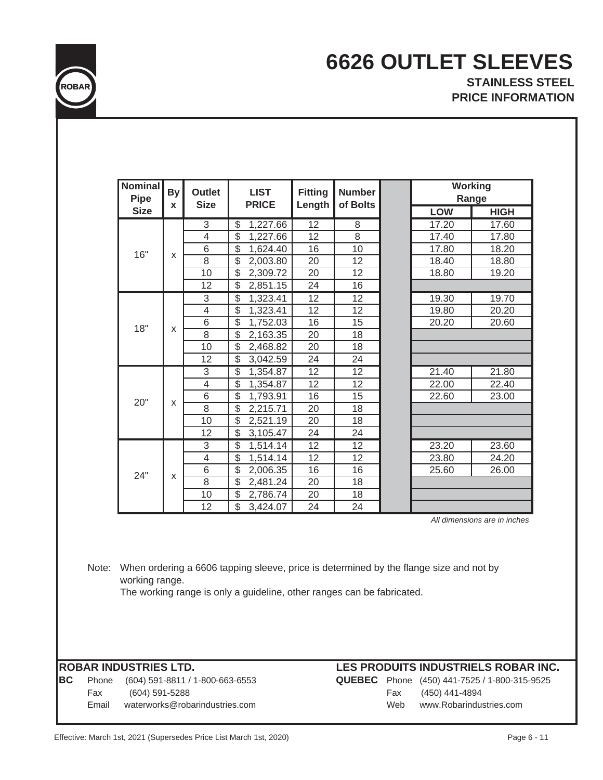

### **6626 OUTLET SLEEVES STAINLESS STEEL PRICE INFORMATION**

| <b>Nominal</b><br><b>Pipe</b> | <b>By</b><br>X | <b>Outlet</b><br><b>Size</b> | <b>LIST</b><br><b>PRICE</b>          | <b>Fitting</b><br>Length | <b>Number</b><br>of Bolts | Working    | Range                        |
|-------------------------------|----------------|------------------------------|--------------------------------------|--------------------------|---------------------------|------------|------------------------------|
| <b>Size</b>                   |                |                              |                                      |                          |                           | <b>LOW</b> | <b>HIGH</b>                  |
|                               |                | 3                            | 1,227.66<br>\$                       | 12                       | 8                         | 17.20      | 17.60                        |
|                               |                | $\overline{\mathbf{4}}$      | \$<br>1,227.66                       | 12                       | 8                         | 17.40      | 17.80                        |
| 16"                           | X              | 6                            | $\overline{\$}$<br>1,624.40          | 16                       | 10                        | 17.80      | 18.20                        |
|                               |                | 8                            | \$<br>2,003.80                       | 20                       | 12                        | 18.40      | 18.80                        |
|                               |                | 10                           | $\overline{\$}$<br>2,309.72          | 20                       | 12                        | 18.80      | 19.20                        |
|                               |                | 12                           | \$<br>2,851.15                       | 24                       | 16                        |            |                              |
|                               |                | 3                            | $\overline{\$}$<br>1,323.41          | $\overline{12}$          | 12                        | 19.30      | 19.70                        |
|                               |                | 4                            | \$<br>1,323.41                       | 12                       | 12                        | 19.80      | 20.20                        |
| 18"                           |                | 6                            | \$<br>1,752.03                       | 16                       | 15                        | 20.20      | 20.60                        |
|                               | X              | $\overline{8}$               | $\overline{\$}$<br>2,163.35          | 20                       | 18                        |            |                              |
|                               |                | 10                           | $\overline{\mathcal{E}}$<br>2,468.82 | 20                       | 18                        |            |                              |
|                               |                | 12                           | \$<br>3,042.59                       | 24                       | 24                        |            |                              |
|                               |                | 3                            | $\overline{\$}$<br>1,354.87          | $\overline{12}$          | $\overline{12}$           | 21.40      | 21.80                        |
|                               |                | $\overline{\mathbf{4}}$      | $\overline{\$}$<br>1,354.87          | 12                       | 12                        | 22.00      | 22.40                        |
| 20"                           | x              | 6                            | $\overline{\$}$<br>1,793.91          | 16                       | 15                        | 22.60      | 23.00                        |
|                               |                | $\overline{8}$               | $\overline{\$}$<br>2,215.71          | $\overline{20}$          | 18                        |            |                              |
|                               |                | 10                           | $\overline{\$}$<br>2,521.19          | 20                       | 18                        |            |                              |
|                               |                | 12                           | \$<br>3,105.47                       | 24                       | 24                        |            |                              |
|                               |                | $\overline{3}$               | $\overline{\$}$<br>1,514.14          | $\overline{12}$          | 12                        | 23.20      | 23.60                        |
|                               |                | 4                            | $\overline{\$}$<br>1,514.14          | 12                       | 12                        | 23.80      | 24.20                        |
| 24"                           |                | $\overline{6}$               | $\overline{\$}$<br>2,006.35          | 16                       | 16                        | 25.60      | 26.00                        |
|                               | X              | 8                            | \$<br>2,481.24                       | 20                       | 18                        |            |                              |
|                               |                | 10                           | \$<br>2,786.74                       | 20                       | 18                        |            |                              |
|                               |                | 12                           | \$<br>3,424.07                       | 24                       | 24                        |            |                              |
|                               |                |                              |                                      |                          |                           |            | All dimensions are in inches |

Note: When ordering a 6606 tapping sleeve, price is determined by the flange size and not by working range.

The working range is only a guideline, other ranges can be fabricated.

**BC** Phone (604) 591-8811 / 1-800-663-6553 **QUEBEC** Phone (450) 441-7525 / 1-800-315-9525 Fax (604) 591-5288 Fax (450) 441-4894 Email waterworks@robarindustries.com Web www.Robarindustries.com

### **ROBAR INDUSTRIES LTD. LES PRODUITS INDUSTRIELS ROBAR INC.**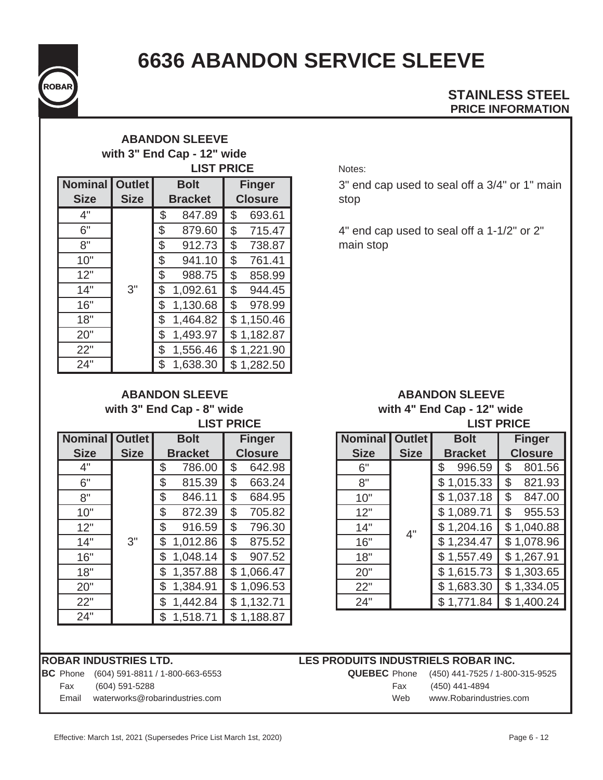

# **6636 ABANDON SERVICE SLEEVE**

### **PRICE INFORMATION STAINLESS STEEL**

### **ABANDON SLEEVE with 3" End Cap - 12" wide LIST PRICE**

| <b>Nominal</b><br><b>Size</b> | <b>Outlet</b><br><b>Size</b> | <b>Bolt</b><br><b>Bracket</b> |          |    | <b>Finger</b><br><b>Closure</b> |
|-------------------------------|------------------------------|-------------------------------|----------|----|---------------------------------|
|                               |                              |                               |          |    |                                 |
| 4"                            |                              | \$                            | 847.89   | \$ | 693.61                          |
| 6"                            |                              | \$                            | 879.60   | \$ | 715.47                          |
| 8"                            |                              | \$                            | 912.73   | \$ | 738.87                          |
| 10"                           |                              | \$                            | 941.10   | \$ | 761.41                          |
| 12"                           |                              | \$                            | 988.75   | \$ | 858.99                          |
| 14"                           | 3"                           | \$                            | 1,092.61 | \$ | 944.45                          |
| 16"                           |                              | \$                            | 1,130.68 | \$ | 978.99                          |
| 18"                           |                              | \$                            | 1,464.82 |    | \$1,150.46                      |
| 20"                           |                              | \$                            | 1,493.97 |    | \$1,182.87                      |
| 22"                           |                              | \$                            | 1,556.46 |    | \$1,221.90                      |
| 24"                           |                              | \$                            | 1,638.30 |    | \$1,282.50                      |

**ABANDON SLEEVE with 3" End Cap - 8" wide**

| <b>Nominal</b> | <b>Outlet</b> |                | <b>Bolt</b>    |    | <b>Finger</b>  |  |  |  |  |
|----------------|---------------|----------------|----------------|----|----------------|--|--|--|--|
| <b>Size</b>    | <b>Size</b>   |                | <b>Bracket</b> |    | <b>Closure</b> |  |  |  |  |
| 4"             |               | \$             | 786.00         | \$ | 642.98         |  |  |  |  |
| 6"             |               | \$             | 815.39         | \$ | 663.24         |  |  |  |  |
| 8"             |               | \$             | 846.11         | \$ | 684.95         |  |  |  |  |
| 10"            |               | \$             | 872.39         | \$ | 705.82         |  |  |  |  |
| 12"            |               | \$             | 916.59         | \$ | 796.30         |  |  |  |  |
| 14"            | 3"            | \$             | 1,012.86       | \$ | 875.52         |  |  |  |  |
| 16"            |               | \$             | 1,048.14       | \$ | 907.52         |  |  |  |  |
| 18"            |               | \$             | 1,357.88       |    | \$1,066.47     |  |  |  |  |
| 20"            |               | \$             | 1,384.91       |    | \$1,096.53     |  |  |  |  |
| 22"            |               | \$<br>1,442.84 |                |    | \$1,132.71     |  |  |  |  |
| 24"            |               | \$             | 1,518.71       |    | \$1,188.87     |  |  |  |  |

#### Notes:

3" end cap used to seal off a 3/4" or 1" main stop

4" end cap used to seal off a 1-1/2" or 2" main stop

#### **LIST PRICE LIST PRICE ABANDON SLEEVE with 4" End Cap - 12" wide**

| minal | <b>Outlet</b> | <b>Bolt</b>    | <b>Finger</b>            | <b>Nominal</b><br><b>Outlet</b> |             | <b>Bolt</b>    | <b>Finger</b>  |
|-------|---------------|----------------|--------------------------|---------------------------------|-------------|----------------|----------------|
| Size  | <b>Size</b>   | <b>Bracket</b> | <b>Closure</b>           | <b>Size</b>                     | <b>Size</b> | <b>Bracket</b> | <b>Closure</b> |
| 4"    |               | 786.00<br>\$   | 642.98<br>\$             | 6"                              |             | 996.59<br>\$   | 801.56<br>\$   |
| 6"    |               | \$<br>815.39   | 663.24<br>\$             | 8"                              |             | \$1,015.33     | 821.93<br>\$   |
| 8"    |               | \$<br>846.11   | \$<br>684.95             | 10"                             |             | \$1,037.18     | \$<br>847.00   |
| 10"   |               | \$<br>872.39   | \$<br>705.82             | 12"                             |             | \$1,089.71     | \$<br>955.53   |
| 12"   |               | \$<br>916.59   | 796.30<br>\$             | 14"                             | 4"          | \$1,204.16     | \$1,040.88     |
| 14"   | 3"            | 1,012.86<br>\$ | 875.52<br>$\mathfrak{S}$ | 16"                             |             | \$1,234.47     | \$1,078.96     |
| 16"   |               | 1,048.14<br>\$ | 907.52<br>\$             | 18"                             |             | 1,557.49<br>\$ | \$1,267.91     |
| 18"   |               | 1,357.88<br>\$ | \$1,066.47               | 20"                             |             | \$1,615.73     | \$1,303.65     |
| 20"   |               | 1,384.91<br>\$ | \$1,096.53               | 22"                             |             | \$1,683.30     | \$1,334.05     |
| 22"   |               | 1,442.84<br>\$ | \$1,132.71               | 24"                             |             | \$1,771.84     | \$1,400.24     |

|       | IROBAR INDUSTRIES LTD.                          | LES PRODUITS INDUSTRIELS ROBAR INC. |     |                                                     |
|-------|-------------------------------------------------|-------------------------------------|-----|-----------------------------------------------------|
|       | <b>BC</b> Phone (604) 591-8811 / 1-800-663-6553 |                                     |     | <b>QUEBEC</b> Phone (450) 441-7525 / 1-800-315-9525 |
| Fax   | (604) 591-5288                                  |                                     | Fax | (450) 441-4894                                      |
| Email | waterworks@robarindustries.com                  |                                     | Web | www.Robarindustries.com                             |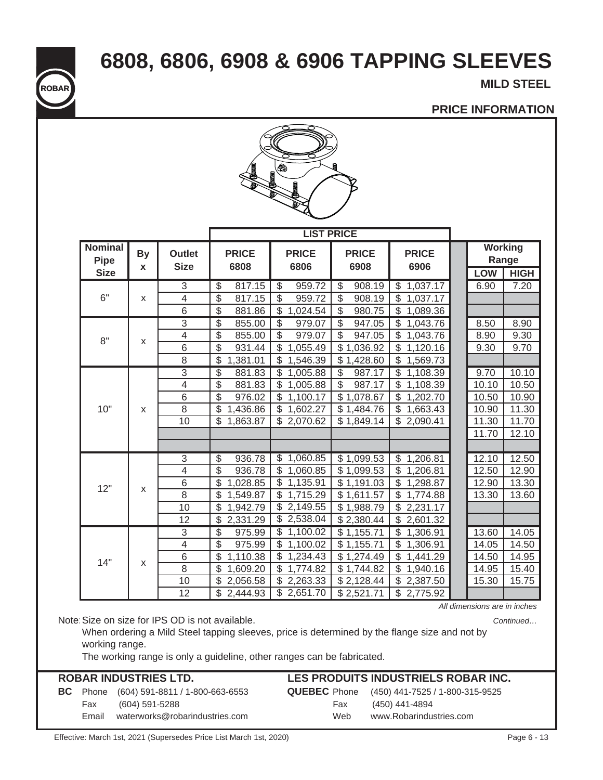**6808, 6806, 6908 & 6906 TAPPING SLEEVES**

**MILD STEEL** 

### **PRICE INFORMATION**



|                                              |                |                              |                                      | <b>LIST PRICE</b>                   |                                    |                                      |       |                                        |
|----------------------------------------------|----------------|------------------------------|--------------------------------------|-------------------------------------|------------------------------------|--------------------------------------|-------|----------------------------------------|
| <b>Nominal</b><br><b>Pipe</b><br><b>Size</b> | <b>By</b><br>X | <b>Outlet</b><br><b>Size</b> | <b>PRICE</b><br>6808                 | <b>PRICE</b><br>6806                | <b>PRICE</b><br>6908               | <b>PRICE</b><br>6906                 | LOW   | <b>Working</b><br>Range<br><b>HIGH</b> |
|                                              |                | 3                            | 817.15<br>$\frac{1}{2}$              | 959.72<br>\$                        | 908.19<br>\$                       | 1,037.17<br>\$                       | 6.90  | 7.20                                   |
| 6"                                           | $\mathsf{x}$   | $\overline{\mathcal{L}}$     | \$<br>817.15                         | \$<br>959.72                        | $\frac{1}{2}$<br>908.19            | \$<br>1,037.17                       |       |                                        |
|                                              |                | $\overline{6}$               | $\mathcal{L}$<br>881.86              | \$<br>1,024.54                      | $\mathcal{L}$<br>980.75            | \$<br>1,089.36                       |       |                                        |
|                                              |                | $\overline{3}$               | \$<br>855.00                         | \$<br>979.07                        | $\overline{\$}$<br>947.05          | $\overline{\$}$<br>1,043.76          | 8.50  | 8.90                                   |
| 8"                                           |                | $\overline{4}$               | $\overline{\mathcal{S}}$<br>855.00   | $\overline{\mathbb{S}}$<br>979.07   | \$<br>947.05                       | \$<br>1,043.76                       | 8.90  | 9.30                                   |
|                                              | X              | 6                            | \$<br>931.44                         | \$<br>1,055.49                      | \$1,036.92                         | \$<br>1,120.16                       | 9.30  | 9.70                                   |
|                                              |                | 8                            | $\mathcal{L}$<br>1,381.01            | \$<br>1,546.39                      | \$1,428.60                         | \$<br>1,569.73                       |       |                                        |
|                                              |                | $\overline{3}$               | $\overline{\$}$<br>881.83            | \$<br>1,005.88                      | $\overline{\$}$<br>987.17          | $\overline{\mathcal{S}}$<br>1,108.39 | 9.70  | 10.10                                  |
|                                              |                | $\overline{4}$               | $\overline{\mathcal{S}}$<br>881.83   | \$<br>1,005.88                      | $\overline{\mathcal{S}}$<br>987.17 | \$<br>1,108.39                       | 10.10 | 10.50                                  |
|                                              | $\mathsf{x}$   | 6                            | $\overline{\mathcal{S}}$<br>976.02   | \$<br>1,100.17                      | \$1,078.67                         | \$<br>1,202.70                       | 10.50 | 10.90                                  |
| 10"                                          |                | $\overline{8}$               | $\overline{\mathcal{S}}$<br>1,436.86 | \$<br>1,602.27                      | \$1,484.76                         | \$<br>1,663.43                       | 10.90 | 11.30                                  |
|                                              |                | 10                           | \$<br>1,863.87                       | \$2,070.62                          | \$1,849.14                         | \$<br>2,090.41                       | 11.30 | 11.70                                  |
|                                              |                |                              |                                      |                                     |                                    |                                      | 11.70 | 12.10                                  |
|                                              |                |                              |                                      |                                     |                                    |                                      |       |                                        |
|                                              |                | $\overline{3}$               | $\overline{\$}$<br>936.78            | \$1,060.85                          | \$1,099.53                         | \$1,206.81                           | 12.10 | 12.50                                  |
|                                              |                | $\overline{\mathcal{L}}$     | \$<br>936.78                         | \$<br>1,060.85                      | \$1,099.53                         | \$<br>1,206.81                       | 12.50 | 12.90                                  |
| 12"                                          |                | $\overline{6}$               | \$<br>1,028.85                       | $\overline{\mathbb{S}}$<br>1,135.91 | \$1,191.03                         | \$<br>1,298.87                       | 12.90 | 13.30                                  |
|                                              | X              | $\overline{8}$               | \$<br>1,549.87                       | \$<br>1,715.29                      | \$1,611.57                         | \$<br>1,774.88                       | 13.30 | 13.60                                  |
|                                              |                | 10                           | $\frac{1}{2}$<br>1,942.79            | \$<br>2,149.55                      | \$1,988.79                         | \$<br>2,231.17                       |       |                                        |
|                                              |                | 12                           | $\mathcal{L}$<br>2,331.29            | \$<br>2,538.04                      | \$2,380.44                         | \$<br>2,601.32                       |       |                                        |
|                                              |                | $\overline{3}$               | $\overline{\mathcal{S}}$<br>975.99   | $\overline{\mathbb{S}}$<br>1,100.02 | \$1,155.71                         | $\overline{\mathcal{S}}$<br>1,306.91 | 13.60 | 14.05                                  |
|                                              |                | $\overline{\mathbf{4}}$      | $\boldsymbol{\mathsf{S}}$<br>975.99  | \$<br>1,100.02                      | \$1,155.71                         | \$<br>1,306.91                       | 14.05 | 14.50                                  |
| 14"                                          | X              | 6                            | \$<br>1,110.38                       | \$<br>1,234.43                      | \$1,274.49                         | \$<br>1,441.29                       | 14.50 | 14.95                                  |
|                                              |                | $\overline{8}$               | $\overline{\mathcal{S}}$<br>1,609.20 | \$<br>1,774.82                      | \$1,744.82                         | \$<br>1,940.16                       | 14.95 | 15.40                                  |
|                                              |                | 10                           | \$<br>2,056.58                       | \$<br>2,263.33                      | \$2,128.44                         | \$<br>2,387.50                       | 15.30 | 15.75                                  |
|                                              |                | 12                           | \$<br>2,444.93                       | $\overline{\mathbb{S}}$<br>2,651.70 | \$2,521.71                         | \$<br>2,775.92                       |       |                                        |

*All dimensions are in inches*

*Continued…*

Note:Size on size for IPS OD is not available.

**ROBAR**

When ordering a Mild Steel tapping sleeves, price is determined by the flange size and not by working range.

The working range is only a guideline, other ranges can be fabricated.

|                 | <b>ROBAR INDUSTRIES LTD.</b>    |     | LES PRODUITS INDUSTRIELS ROBAR INC.                 |
|-----------------|---------------------------------|-----|-----------------------------------------------------|
| <b>BC</b> Phone | (604) 591-8811 / 1-800-663-6553 |     | <b>QUEBEC</b> Phone (450) 441-7525 / 1-800-315-9525 |
| Fax             | (604) 591-5288                  | Fax | (450) 441-4894                                      |
| Email           | waterworks@robarindustries.com  | Web | www.Robarindustries.com                             |
|                 |                                 |     |                                                     |

Effective: March 1st, 2021 (Supersedes Price List March 1st, 2020) Page 6 - 13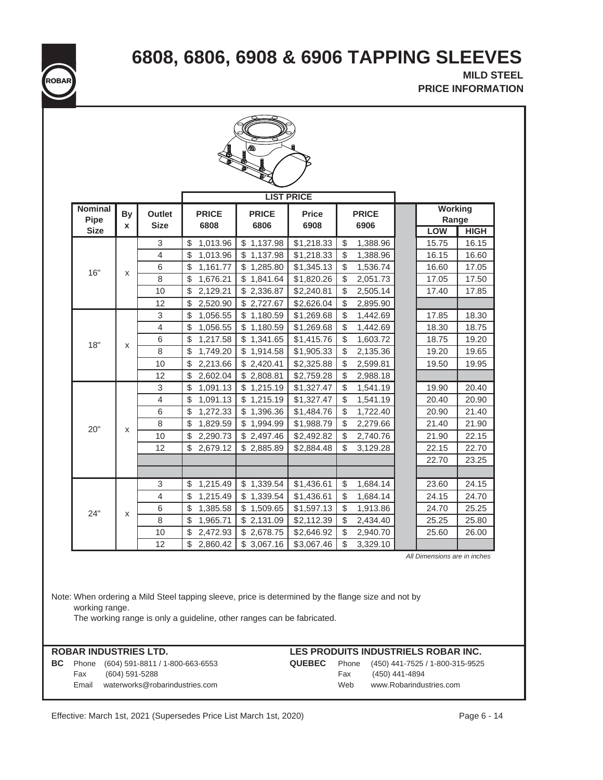**6808, 6806, 6908 & 6906 TAPPING SLEEVES**

 **PRICE INFORMATION MILD STEEL ROBAR**

| <b>Nominal</b>      | <b>By</b> | Outlet         | <b>PRICE</b>                                                           | <b>PRICE</b> | <b>LIST PRICE</b><br><b>Price</b> | <b>PRICE</b>                                                                                       | <b>Working</b> |                      |
|---------------------|-----------|----------------|------------------------------------------------------------------------|--------------|-----------------------------------|----------------------------------------------------------------------------------------------------|----------------|----------------------|
| Pipe<br><b>Size</b> | X         | <b>Size</b>    | 6808                                                                   | 6806         | 6908                              | 6906                                                                                               | LOW            | Range<br><b>HIGH</b> |
|                     |           | 3              | 1,013.96<br>\$                                                         | \$1,137.98   | \$1,218.33                        | 1,388.96<br>\$                                                                                     | 15.75          | 16.15                |
|                     |           | 4              | 1,013.96<br>\$                                                         | \$1,137.98   | \$1,218.33                        | \$<br>1,388.96                                                                                     | 16.15          | 16.60                |
|                     |           | 6              | \$<br>1,161.77                                                         | \$1,285.80   | \$1,345.13                        | \$<br>1,536.74                                                                                     | 16.60          | 17.05                |
| 16"                 | X         | 8              | \$<br>1,676.21                                                         | \$1,841.64   | \$1,820.26                        | \$<br>2,051.73                                                                                     | 17.05          | 17.50                |
|                     |           | 10             | \$<br>2,129.21                                                         | \$2,336.87   | \$2,240.81                        | \$<br>2,505.14                                                                                     | 17.40          | 17.85                |
|                     |           | 12             | \$<br>2,520.90                                                         | \$2,727.67   | \$2,626.04                        | \$<br>2,895.90                                                                                     |                |                      |
|                     |           | 3              | 1,056.55<br>\$                                                         | \$1,180.59   | \$1,269.68                        | \$<br>1,442.69                                                                                     | 17.85          | 18.30                |
|                     |           | 4              | 1,056.55<br>\$                                                         | \$1,180.59   | \$1,269.68                        | \$<br>1,442.69                                                                                     | 18.30          | 18.75                |
|                     |           | 6              | \$<br>1,217.58                                                         | \$1,341.65   | \$1,415.76                        | \$<br>1,603.72                                                                                     | 18.75          | 19.20                |
| 18"                 | X         | 8              | \$<br>1,749.20                                                         | \$1,914.58   | \$1,905.33                        | \$<br>2,135.36                                                                                     | 19.20          | 19.65                |
|                     |           | 10             | 2,213.66<br>\$                                                         | \$2,420.41   | \$2,325.88                        | \$<br>2,599.81                                                                                     | 19.50          | 19.95                |
|                     |           | 12             | \$<br>2,602.04                                                         | \$2,808.81   | \$2,759.28                        | \$<br>2,988.18                                                                                     |                |                      |
|                     |           | 3              | \$<br>1,091.13                                                         | \$1,215.19   | \$1,327.47                        | \$<br>1,541.19                                                                                     | 19.90          | 20.40                |
|                     |           | $\overline{4}$ | \$<br>1,091.13                                                         | \$1,215.19   | \$1,327.47                        | \$<br>1,541.19                                                                                     | 20.40          | 20.90                |
|                     |           | 6              | \$<br>1,272.33                                                         | \$1,396.36   | \$1,484.76                        | \$<br>1,722.40                                                                                     | 20.90          | 21.40                |
|                     |           | 8              | \$<br>1,829.59                                                         | \$1,994.99   | \$1,988.79                        | \$<br>2,279.66                                                                                     | 21.40          | 21.90                |
| 20"                 | X         | 10             | \$<br>2,290.73                                                         | \$2,497.46   | \$2,492.82                        | \$<br>2,740.76                                                                                     | 21.90          | 22.15                |
|                     |           | 12             | \$<br>2,679.12                                                         | \$2,885.89   | \$2,884.48                        | \$<br>3,129.28                                                                                     | 22.15          | 22.70                |
|                     |           |                |                                                                        |              |                                   |                                                                                                    | 22.70          | 23.25                |
|                     |           |                |                                                                        |              |                                   |                                                                                                    |                |                      |
|                     |           | 3              | 1,215.49<br>\$                                                         | \$1,339.54   | \$1,436.61                        | \$<br>1,684.14                                                                                     | 23.60          | 24.15                |
|                     |           | 4              | \$<br>1,215.49                                                         | \$1,339.54   | \$1,436.61                        | \$<br>1,684.14                                                                                     | 24.15          | 24.70                |
| 24"                 | X         | 6              | 1,385.58<br>\$                                                         | \$1,509.65   | \$1,597.13                        | \$<br>1,913.86                                                                                     | 24.70          | 25.25                |
|                     |           | 8              | \$<br>1,965.71                                                         | \$2,131.09   | \$2,112.39                        | \$<br>2,434.40                                                                                     | 25.25          | 25.80                |
|                     |           | 10             | \$<br>2,472.93                                                         | \$2,678.75   | \$2,646.92                        | \$<br>2,940.70                                                                                     | 25.60          | 26.00                |
|                     |           | 12             | \$.<br>2,860.42                                                        | \$3,067.16   | \$3,067.46                        | \$<br>3,329.10                                                                                     |                |                      |
| working range.      |           |                | The working range is only a guideline, other ranges can be fabricated. |              |                                   | Note: When ordering a Mild Steel tapping sleeve, price is determined by the flange size and not by |                |                      |

Effective: March 1st, 2021 (Supersedes Price List March 1st, 2020) Page 6 - 14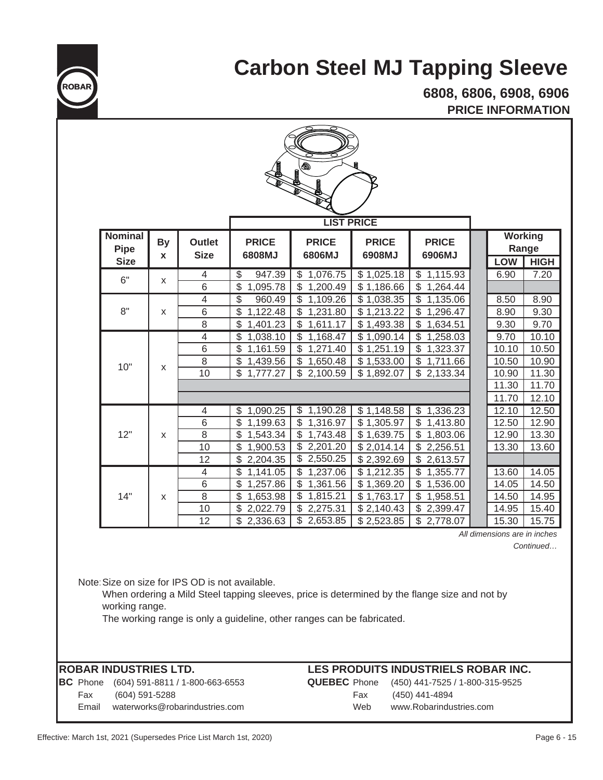

## **Carbon Steel MJ Tapping Sleeve**

**PRICE INFORMATION 6808, 6806, 6908, 6906**

| $\bigcirc$<br><b>LIST PRICE</b>              |                |                                       |                                                                                                                                       |                                                                                |                                                      |                                                                                                    |                                  |  |                                        |  |
|----------------------------------------------|----------------|---------------------------------------|---------------------------------------------------------------------------------------------------------------------------------------|--------------------------------------------------------------------------------|------------------------------------------------------|----------------------------------------------------------------------------------------------------|----------------------------------|--|----------------------------------------|--|
| <b>Nominal</b><br><b>Pipe</b><br><b>Size</b> | <b>By</b><br>X | <b>Outlet</b><br><b>Size</b>          | <b>PRICE</b><br>6808MJ                                                                                                                | <b>PRICE</b><br>6806MJ                                                         | <b>PRICE</b><br>6908MJ                               | <b>PRICE</b><br>6906MJ                                                                             | <b>LOW</b>                       |  | <b>Working</b><br>Range<br><b>HIGH</b> |  |
| 6"                                           | X              | 4<br>6                                | $\overline{\mathcal{S}}$<br>947.39<br>\$<br>1,095.78                                                                                  | \$1,076.75<br>1,200.49<br>\$                                                   | \$1,025.18<br>\$1,186.66                             | \$1,115.93<br>\$1,264.44                                                                           | 6.90                             |  | 7.20                                   |  |
| 8"                                           | X              | $\overline{4}$<br>$\overline{6}$<br>8 | $\overline{\$}$<br>960.49<br>$\overline{\mathcal{S}}$<br>1,122.48<br>\$<br>1,401.23                                                   | 1,109.26<br>\$<br>\$<br>1,231.80<br>\$<br>1,611.17                             | \$1,038.35<br>\$1,213.22<br>\$1,493.38               | $\overline{\mathbb{S}}$<br>1,135.06<br>\$<br>1,296.47<br>\$<br>1,634.51                            | 8.50<br>8.90<br>9.30             |  | 8.90<br>9.30<br>9.70                   |  |
| 10"                                          | X              | 4<br>6<br>$\overline{8}$<br>10        | $\overline{\mathcal{S}}$<br>1,038.10<br>\$<br>1,161.59<br>$\overline{\mathcal{S}}$<br>1,439.56<br>$\overline{\mathbb{S}}$<br>1,777.27 | \$<br>1,168.47<br>\$<br>1,271.40<br>\$<br>1,650.48<br>$\overline{\$}$ 2,100.59 | \$1,090.14<br>\$1,251.19<br>\$1,533.00<br>\$1,892.07 | $\mathcal{L}$<br>1,258.03<br>\$<br>1,323.37<br>$\overline{\$}$ 1,711.66<br>$\overline{$}$ 2,133.34 | 9.70<br>10.10<br>10.50<br>10.90  |  | 10.10<br>10.50<br>10.90<br>11.30       |  |
|                                              |                |                                       |                                                                                                                                       |                                                                                |                                                      |                                                                                                    | 11.30<br>11.70                   |  | 11.70<br>12.10                         |  |
| 12"                                          | X              | 4<br>6<br>8<br>10                     | \$1,090.25<br>\$<br>1,199.63<br>\$<br>1,543.34<br>\$<br>1,900.53                                                                      | \$1,190.28<br>1,316.97<br>\$<br>\$<br>1,743.48<br>\$<br>2,201.20               | \$1,148.58<br>\$1,305.97<br>\$1,639.75<br>\$2,014.14 | $\overline{3}$ 1,336.23<br>$\mathbb{S}$<br>1,413.80<br>\$1,803.06<br>\$2,256.51                    | 12.10<br>12.50<br>12.90<br>13.30 |  | 12.50<br>12.90<br>13.30<br>13.60       |  |
|                                              |                | 12<br>4<br>6                          | \$<br>2,204.35<br>$\overline{\mathbb{S}}$<br>1,141.05<br>$\mathbb{S}$<br>1,257.86                                                     | \$2,550.25<br>$\overline{\mathbb{S}}$<br>1,237.06<br>\$<br>1,361.56            | \$2,392.69<br>\$1,212.35<br>\$1,369.20               | \$2,613.57<br>\$<br>1,355.77<br>$\mathbb{S}$<br>1,536.00                                           | 13.60<br>14.05                   |  | 14.05<br>14.50                         |  |
| 14"                                          | X              | 8<br>10<br>12                         | \$<br>1,653.98<br>\$<br>2,022.79<br>\$<br>2,336.63                                                                                    | 1,815.21<br>\$<br>2,275.31<br>\$<br>$\overline{2,653.85}$                      | \$1,763.17<br>\$2,140.43<br>\$2,523.85               | \$1,958.51<br>\$2,399.47<br>\$2,778.07                                                             | 14.50<br>14.95<br>15.30          |  | 14.95<br>15.40<br>15.75                |  |
|                                              |                |                                       |                                                                                                                                       |                                                                                |                                                      |                                                                                                    | All dimensions are in inches     |  |                                        |  |

*Continued…*

Note:Size on size for IPS OD is not available.

When ordering a Mild Steel tapping sleeves, price is determined by the flange size and not by working range.

The working range is only a guideline, other ranges can be fabricated.

#### **ROBAR INDUSTRIES LTD.**

**BC** Phone (604) 591-8811 / 1-800-663-6553 **QUEBEC** Phone (450) 441-7525 / 1-800-315-9525 Fax (604) 591-5288 Fax (450) 441-4894 Email waterworks@robarindustries.com Web www.Robarindustries.com

### **LES PRODUITS INDUSTRIELS ROBAR INC.**